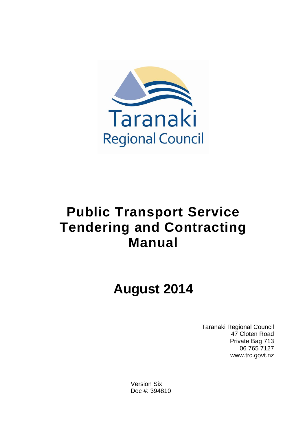

# **Public Transport Service Tendering and Contracting Manual**

# **August 2014**

Taranaki Regional Council 47 Cloten Road Private Bag 713 06 765 7127 www.trc.govt.nz

Version Six Doc #: 394810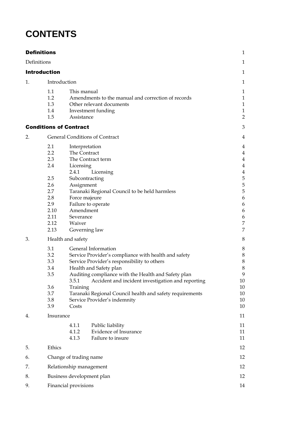## **CONTENTS**

|    | <b>Definitions</b>                                                                                       |                                                                                                                                                                                                                                                                                                                                                                                                                 | $\mathbf{1}$                                                                                                                  |
|----|----------------------------------------------------------------------------------------------------------|-----------------------------------------------------------------------------------------------------------------------------------------------------------------------------------------------------------------------------------------------------------------------------------------------------------------------------------------------------------------------------------------------------------------|-------------------------------------------------------------------------------------------------------------------------------|
|    | Definitions                                                                                              |                                                                                                                                                                                                                                                                                                                                                                                                                 | 1                                                                                                                             |
|    | <b>Introduction</b>                                                                                      |                                                                                                                                                                                                                                                                                                                                                                                                                 | $\mathbf{1}$                                                                                                                  |
| 1. | Introduction                                                                                             |                                                                                                                                                                                                                                                                                                                                                                                                                 | 1                                                                                                                             |
|    | 1.1<br>1.2<br>1.3<br>1.4<br>1.5                                                                          | This manual<br>Amendments to the manual and correction of records<br>Other relevant documents<br>Investment funding<br>Assistance                                                                                                                                                                                                                                                                               | 1<br>$\mathbf{1}$<br>$\mathbf{1}$<br>$\mathbf{1}$<br>$\overline{2}$                                                           |
|    |                                                                                                          | <b>Conditions of Contract</b>                                                                                                                                                                                                                                                                                                                                                                                   | 3                                                                                                                             |
| 2. |                                                                                                          | <b>General Conditions of Contract</b>                                                                                                                                                                                                                                                                                                                                                                           | 4                                                                                                                             |
|    | 2.1<br>$2.2\phantom{0}$<br>2.3<br>2.4<br>2.5<br>2.6<br>2.7<br>2.8<br>2.9<br>2.10<br>2.11<br>2.12<br>2.13 | Interpretation<br>The Contract<br>The Contract term<br>Licensing<br>2.4.1<br>Licensing<br>Subcontracting<br>Assignment<br>Taranaki Regional Council to be held harmless<br>Force majeure<br>Failure to operate<br>Amendment<br>Severance<br>Waiver<br>Governing law                                                                                                                                             | 4<br>$\overline{\mathbf{4}}$<br>4<br>4<br>$\overline{\mathbf{4}}$<br>5<br>5<br>5<br>6<br>6<br>6<br>$\boldsymbol{6}$<br>7<br>7 |
| 3. | 3.1<br>3.2<br>3.3<br>3.4<br>3.5<br>3.6<br>3.7<br>3.8<br>3.9                                              | Health and safety<br>General Information<br>Service Provider's compliance with health and safety<br>Service Provider's responsibility to others<br>Health and Safety plan<br>Auditing compliance with the Health and Safety plan<br>3.5.1<br>Accident and incident investigation and reporting<br>Training<br>Taranaki Regional Council health and safety requirements<br>Service Provider's indemnity<br>Costs | 8<br>8<br>8<br>$\,8\,$<br>8<br>9<br>$10\,$<br>10<br>10<br>10<br>10                                                            |
| 4. | Insurance                                                                                                | 4.1.1<br>Public liability<br><b>Evidence of Insurance</b><br>4.1.2<br>4.1.3<br>Failure to insure                                                                                                                                                                                                                                                                                                                | 11<br>11<br>11<br>11                                                                                                          |
| 5. | Ethics                                                                                                   |                                                                                                                                                                                                                                                                                                                                                                                                                 | 12                                                                                                                            |
| 6. |                                                                                                          | Change of trading name<br>12                                                                                                                                                                                                                                                                                                                                                                                    |                                                                                                                               |
| 7. |                                                                                                          | Relationship management                                                                                                                                                                                                                                                                                                                                                                                         | 12                                                                                                                            |
| 8. |                                                                                                          | Business development plan                                                                                                                                                                                                                                                                                                                                                                                       | 12                                                                                                                            |
| 9. |                                                                                                          | Financial provisions                                                                                                                                                                                                                                                                                                                                                                                            | 14                                                                                                                            |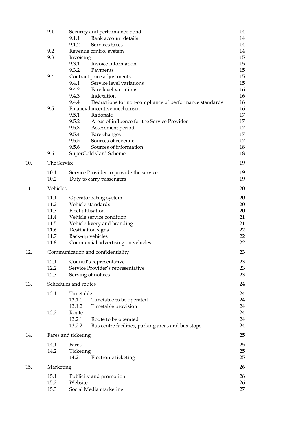|     | 9.1                | Security and performance bond                                   | 14       |
|-----|--------------------|-----------------------------------------------------------------|----------|
|     |                    | Bank account details<br>9.1.1                                   | 14       |
|     |                    | 9.1.2<br>Services taxes                                         | 14       |
|     | 9.2                | Revenue control system                                          | 14       |
|     | 9.3                | Invoicing                                                       | 15       |
|     |                    | 9.3.1<br>Invoice information                                    | 15       |
|     |                    | 9.3.2<br>Payments                                               | 15       |
|     | 9.4                | Contract price adjustments                                      | 15       |
|     |                    | Service level variations<br>9.4.1                               | 15       |
|     |                    | 9.4.2<br>Fare level variations                                  | 16       |
|     |                    | 9.4.3<br>Indexation                                             | 16       |
|     |                    | 9.4.4<br>Deductions for non-compliance of performance standards | 16       |
|     | 9.5                | Financial incentive mechanism                                   | 16       |
|     |                    | 9.5.1<br>Rationale                                              | 17       |
|     |                    | 9.5.2<br>Areas of influence for the Service Provider            | 17       |
|     |                    | 9.5.3<br>Assessment period                                      | 17       |
|     |                    | 9.5.4<br>Fare changes<br>9.5.5                                  | 17       |
|     |                    | Sources of revenue<br>9.5.6<br>Sources of information           | 17       |
|     | 9.6                |                                                                 | 18       |
|     |                    | SuperGold Card Scheme                                           | 18       |
| 10. | <b>The Service</b> |                                                                 | 19       |
|     | 10.1               | Service Provider to provide the service                         | 19       |
|     | 10.2               | Duty to carry passengers                                        | 19       |
| 11. | Vehicles           |                                                                 | 20       |
|     |                    |                                                                 |          |
|     | 11.1               | Operator rating system                                          | 20       |
|     | 11.2               | Vehicle standards                                               | 20       |
|     | 11.3               | Fleet utilisation                                               | 20       |
|     | 11.4               | Vehicle service condition                                       | 21       |
|     | 11.5<br>11.6       | Vehicle livery and branding<br>Destination signs                | 21<br>22 |
|     | 11.7               | Back-up vehicles                                                | 22       |
|     | 11.8               | Commercial advertising on vehicles                              | 22       |
| 12. |                    | Communication and confidentiality                               | 23       |
|     |                    |                                                                 |          |
|     | 12.1               | Council's representative                                        | 23       |
|     | 12.2               | Service Provider's representative                               | 23       |
|     | 12.3               | Serving of notices                                              | 23       |
| 13. |                    | Schedules and routes                                            | 24       |
|     | 13.1               | Timetable                                                       | 24       |
|     |                    | 13.1.1<br>Timetable to be operated                              | 24       |
|     |                    | 13.1.2<br>Timetable provision                                   | 24       |
|     | 13.2               | Route                                                           | 24       |
|     |                    | 13.2.1<br>Route to be operated                                  | 24       |
|     |                    | 13.2.2<br>Bus centre facilities, parking areas and bus stops    | 24       |
| 14. |                    | Fares and ticketing                                             | 25       |
|     | 14.1               | Fares                                                           | 25       |
|     | 14.2               | Ticketing                                                       | 25       |
|     |                    | 14.2.1<br>Electronic ticketing                                  | 25       |
|     |                    |                                                                 |          |
| 15. | Marketing          |                                                                 | 26       |
|     | 15.1               | Publicity and promotion                                         | 26       |
|     | 15.2               | Website                                                         | 26       |
|     | 15.3               | Social Media marketing                                          | 27       |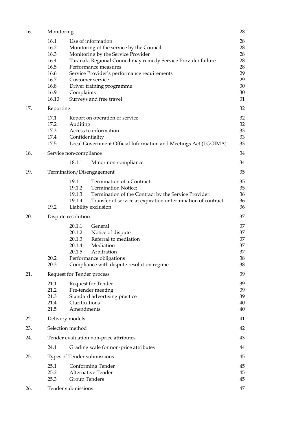| 16. | Monitoring                                                                    |                                                                                                                                                                                                                                                                                                                                        | 28                                                       |
|-----|-------------------------------------------------------------------------------|----------------------------------------------------------------------------------------------------------------------------------------------------------------------------------------------------------------------------------------------------------------------------------------------------------------------------------------|----------------------------------------------------------|
|     | 16.1<br>16.2<br>16.3<br>16.4<br>16.5<br>16.6<br>16.7<br>16.8<br>16.9<br>16.10 | Use of information<br>Monitoring of the service by the Council<br>Monitoring by the Service Provider<br>Taranaki Regional Council may remedy Service Provider failure<br>Performance measures<br>Service Provider's performance requirements<br>Customer service<br>Driver training programme<br>Complaints<br>Surveys and free travel | 28<br>28<br>28<br>28<br>28<br>29<br>29<br>30<br>30<br>31 |
| 17. | Reporting                                                                     |                                                                                                                                                                                                                                                                                                                                        | 32                                                       |
|     | 17.1<br>17.2<br>17.3<br>17.4<br>17.5                                          | Report on operation of service<br>Auditing<br>Access to information<br>Confidentiality<br>Local Government Official Information and Meetings Act (LGOIMA)                                                                                                                                                                              | 32<br>32<br>33<br>33<br>33                               |
| 18. |                                                                               | Service non-compliance                                                                                                                                                                                                                                                                                                                 | 34                                                       |
|     |                                                                               | 18.1.1<br>Minor non-compliance                                                                                                                                                                                                                                                                                                         | 34                                                       |
| 19. |                                                                               | Termination/Disengagement                                                                                                                                                                                                                                                                                                              | 35                                                       |
|     | 19.2                                                                          | 19.1.1<br>Termination of a Contract:<br>19.1.2<br><b>Termination Notice:</b><br>19.1.3<br>Termination of the Contract by the Service Provider:<br>19.1.4<br>Transfer of service at expiration or termination of contract<br>Liability exclusion                                                                                        | 35<br>35<br>36<br>36<br>36                               |
| 20. |                                                                               | Dispute resolution                                                                                                                                                                                                                                                                                                                     | 37                                                       |
|     | 20.2<br>20.3                                                                  | 20.1.1<br>General<br>20.1.2<br>Notice of dispute<br>Referral to mediation<br>20.1.3<br>Mediation<br>20.1.4<br>Arbitration<br>20.1.5<br>Performance obligations<br>Compliance with dispute resolution regime                                                                                                                            | 37<br>37<br>37<br>37<br>37<br>38<br>38                   |
| 21. |                                                                               | Request for Tender process                                                                                                                                                                                                                                                                                                             | 39                                                       |
|     | 21.1<br>21.2<br>21.3<br>21.4<br>21.5                                          | Request for Tender<br>Pre-tender meeting<br>Standard advertising practice<br>Clarifications<br>Amendments                                                                                                                                                                                                                              | 39<br>39<br>39<br>40<br>40                               |
| 22. |                                                                               | Delivery models                                                                                                                                                                                                                                                                                                                        | 41                                                       |
| 23. | Selection method                                                              |                                                                                                                                                                                                                                                                                                                                        | 42                                                       |
| 24. |                                                                               | Tender evaluation non-price attributes                                                                                                                                                                                                                                                                                                 | 43                                                       |
|     | 24.1                                                                          | Grading scale for non-price attributes                                                                                                                                                                                                                                                                                                 | 44                                                       |
| 25. |                                                                               | Types of Tender submissions                                                                                                                                                                                                                                                                                                            | 45                                                       |
|     | 25.1<br>25.2<br>25.3                                                          | Conforming Tender<br>Alternative Tender<br>Group Tenders                                                                                                                                                                                                                                                                               | 45<br>45<br>45                                           |
| 26. |                                                                               | Tender submissions<br>47                                                                                                                                                                                                                                                                                                               |                                                          |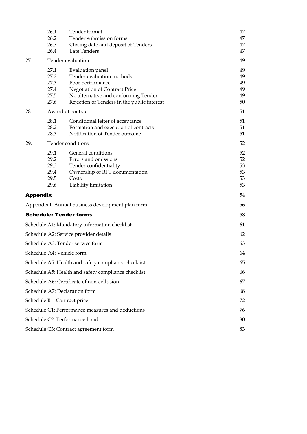|                               | 26.1<br>26.2<br>26.3<br>26.4                 | Tender format<br>Tender submission forms<br>Closing date and deposit of Tenders<br>Late Tenders                                                                                           | 47<br>47<br>47<br>47             |
|-------------------------------|----------------------------------------------|-------------------------------------------------------------------------------------------------------------------------------------------------------------------------------------------|----------------------------------|
| 27.                           |                                              | Tender evaluation                                                                                                                                                                         | 49                               |
|                               | 27.1<br>27.2<br>27.3<br>27.4<br>27.5<br>27.6 | Evaluation panel<br>Tender evaluation methods<br>Poor performance<br>Negotiation of Contract Price<br>No alternative and conforming Tender<br>Rejection of Tenders in the public interest | 49<br>49<br>49<br>49<br>49<br>50 |
| 28.                           |                                              | Award of contract                                                                                                                                                                         | 51                               |
|                               | 28.1<br>28.2<br>28.3                         | Conditional letter of acceptance<br>Formation and execution of contracts<br>Notification of Tender outcome                                                                                | 51<br>51<br>51                   |
| 29.                           |                                              | Tender conditions                                                                                                                                                                         | 52                               |
|                               | 29.1<br>29.2<br>29.3<br>29.4<br>29.5<br>29.6 | General conditions<br>Errors and omissions<br>Tender confidentiality<br>Ownership of RFT documentation<br>Costs<br>Liability limitation                                                   | 52<br>52<br>53<br>53<br>53<br>53 |
| <b>Appendix</b>               |                                              |                                                                                                                                                                                           | 54                               |
|                               |                                              | Appendix I: Annual business development plan form                                                                                                                                         | 56                               |
|                               |                                              | <b>Schedule: Tender forms</b>                                                                                                                                                             | 58                               |
|                               |                                              | Schedule A1: Mandatory information checklist                                                                                                                                              | 61                               |
|                               |                                              | Schedule A2: Service provider details                                                                                                                                                     | 62                               |
|                               |                                              | Schedule A3: Tender service form                                                                                                                                                          | 63                               |
|                               | Schedule A4: Vehicle form                    |                                                                                                                                                                                           | 64                               |
|                               |                                              | Schedule A5: Health and safety compliance checklist                                                                                                                                       | 65                               |
|                               |                                              | Schedule A5: Health and safety compliance checklist                                                                                                                                       | 66                               |
|                               |                                              | Schedule A6: Certificate of non-collusion                                                                                                                                                 | 67                               |
|                               |                                              | Schedule A7: Declaration form                                                                                                                                                             | 68                               |
|                               | Schedule B1: Contract price                  |                                                                                                                                                                                           | 72                               |
|                               |                                              | Schedule C1: Performance measures and deductions                                                                                                                                          | 76                               |
| Schedule C2: Performance bond |                                              |                                                                                                                                                                                           | 80                               |
|                               |                                              | Schedule C3: Contract agreement form                                                                                                                                                      | 83                               |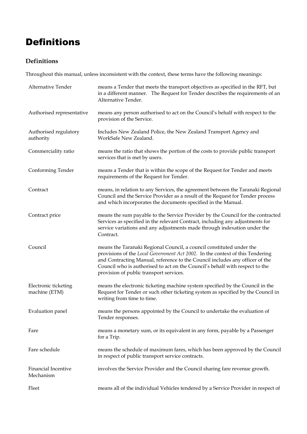## Definitions

## **Definitions**

Throughout this manual, unless inconsistent with the context, these terms have the following meanings:

| Alternative Tender                      | means a Tender that meets the transport objectives as specified in the RFT, but<br>in a different manner. The Request for Tender describes the requirements of an<br>Alternative Tender.                                                                                                                                                                         |
|-----------------------------------------|------------------------------------------------------------------------------------------------------------------------------------------------------------------------------------------------------------------------------------------------------------------------------------------------------------------------------------------------------------------|
| Authorised representative               | means any person authorised to act on the Council's behalf with respect to the<br>provision of the Service.                                                                                                                                                                                                                                                      |
| Authorised regulatory<br>authority      | Includes New Zealand Police, the New Zealand Transport Agency and<br>WorkSafe New Zealand.                                                                                                                                                                                                                                                                       |
| Commerciality ratio                     | means the ratio that shows the portion of the costs to provide public transport<br>services that is met by users.                                                                                                                                                                                                                                                |
| Conforming Tender                       | means a Tender that is within the scope of the Request for Tender and meets<br>requirements of the Request for Tender.                                                                                                                                                                                                                                           |
| Contract                                | means, in relation to any Services, the agreement between the Taranaki Regional<br>Council and the Service Provider as a result of the Request for Tender process<br>and which incorporates the documents specified in the Manual.                                                                                                                               |
| Contract price                          | means the sum payable to the Service Provider by the Council for the contracted<br>Services as specified in the relevant Contract, including any adjustments for<br>service variations and any adjustments made through indexation under the<br>Contract.                                                                                                        |
| Council                                 | means the Taranaki Regional Council, a council constituted under the<br>provisions of the Local Government Act 2002. In the context of this Tendering<br>and Contracting Manual, reference to the Council includes any officer of the<br>Council who is authorised to act on the Council's behalf with respect to the<br>provision of public transport services. |
| Electronic ticketing<br>machine (ETM)   | means the electronic ticketing machine system specified by the Council in the<br>Request for Tender or such other ticketing system as specified by the Council in<br>writing from time to time.                                                                                                                                                                  |
| Evaluation panel                        | means the persons appointed by the Council to undertake the evaluation of<br>Tender responses.                                                                                                                                                                                                                                                                   |
| Fare                                    | means a monetary sum, or its equivalent in any form, payable by a Passenger<br>for a Trip.                                                                                                                                                                                                                                                                       |
| Fare schedule                           | means the schedule of maximum fares, which has been approved by the Council<br>in respect of public transport service contracts.                                                                                                                                                                                                                                 |
| <b>Financial Incentive</b><br>Mechanism | involves the Service Provider and the Council sharing fare revenue growth.                                                                                                                                                                                                                                                                                       |
| Fleet                                   | means all of the individual Vehicles tendered by a Service Provider in respect of                                                                                                                                                                                                                                                                                |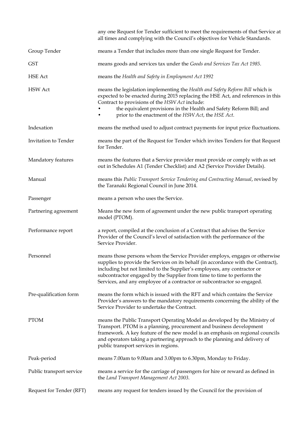|                          | any one Request for Tender sufficient to meet the requirements of that Service at<br>all times and complying with the Council's objectives for Vehicle Standards.                                                                                                                                                                                                                                 |
|--------------------------|---------------------------------------------------------------------------------------------------------------------------------------------------------------------------------------------------------------------------------------------------------------------------------------------------------------------------------------------------------------------------------------------------|
| Group Tender             | means a Tender that includes more than one single Request for Tender.                                                                                                                                                                                                                                                                                                                             |
| <b>GST</b>               | means goods and services tax under the Goods and Services Tax Act 1985.                                                                                                                                                                                                                                                                                                                           |
| <b>HSE</b> Act           | means the Health and Safety in Employment Act 1992                                                                                                                                                                                                                                                                                                                                                |
| <b>HSW</b> Act           | means the legislation implementing the Health and Safety Reform Bill which is<br>expected to be enacted during 2015 replacing the HSE Act, and references in this<br>Contract to provisions of the HSW Act include:<br>the equivalent provisions in the Health and Safety Reform Bill; and<br>prior to the enactment of the HSW Act, the HSE Act.                                                 |
| Indexation               | means the method used to adjust contract payments for input price fluctuations.                                                                                                                                                                                                                                                                                                                   |
| Invitation to Tender     | means the part of the Request for Tender which invites Tenders for that Request<br>for Tender.                                                                                                                                                                                                                                                                                                    |
| Mandatory features       | means the features that a Service provider must provide or comply with as set<br>out in Schedules A1 (Tender Checklist) and A2 (Service Provider Details).                                                                                                                                                                                                                                        |
| Manual                   | means this Public Transport Service Tendering and Contracting Manual, revised by<br>the Taranaki Regional Council in June 2014.                                                                                                                                                                                                                                                                   |
| Passenger                | means a person who uses the Service.                                                                                                                                                                                                                                                                                                                                                              |
| Partnering agreement     | Means the new form of agreement under the new public transport operating<br>model (PTOM).                                                                                                                                                                                                                                                                                                         |
| Performance report       | a report, compiled at the conclusion of a Contract that advises the Service<br>Provider of the Council's level of satisfaction with the performance of the<br>Service Provider.                                                                                                                                                                                                                   |
| Personnel                | means those persons whom the Service Provider employs, engages or otherwise<br>supplies to provide the Services on its behalf (in accordance with the Contract),<br>including but not limited to the Supplier's employees, any contractor or<br>subcontractor engaged by the Supplier from time to time to perform the<br>Services, and any employee of a contractor or subcontractor so engaged. |
| Pre-qualification form   | means the form which is issued with the RFT and which contains the Service<br>Provider's answers to the mandatory requirements concerning the ability of the<br>Service Provider to undertake the Contract.                                                                                                                                                                                       |
| <b>PTOM</b>              | means the Public Transport Operating Model as developed by the Ministry of<br>Transport. PTOM is a planning, procurement and business development<br>framework. A key feature of the new model is an emphasis on regional councils<br>and operators taking a partnering approach to the planning and delivery of<br>public transport services in regions.                                         |
| Peak-period              | means 7.00am to 9.00am and 3.00pm to 6.30pm, Monday to Friday.                                                                                                                                                                                                                                                                                                                                    |
| Public transport service | means a service for the carriage of passengers for hire or reward as defined in<br>the Land Transport Management Act 2003.                                                                                                                                                                                                                                                                        |
| Request for Tender (RFT) | means any request for tenders issued by the Council for the provision of                                                                                                                                                                                                                                                                                                                          |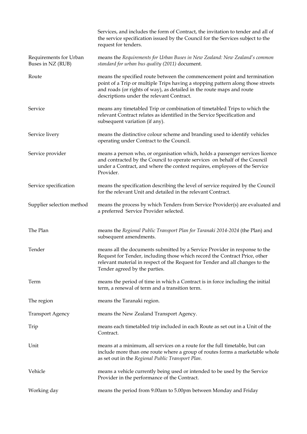|                                             | Services, and includes the form of Contract, the invitation to tender and all of<br>the service specification issued by the Council for the Services subject to the<br>request for tenders.                                                                                       |
|---------------------------------------------|-----------------------------------------------------------------------------------------------------------------------------------------------------------------------------------------------------------------------------------------------------------------------------------|
| Requirements for Urban<br>Buses in NZ (RUB) | means the Requirements for Urban Buses in New Zealand: New Zealand's common<br>standard for urban bus quality (2011) document.                                                                                                                                                    |
| Route                                       | means the specified route between the commencement point and termination<br>point of a Trip or multiple Trips having a stopping pattern along those streets<br>and roads (or rights of way), as detailed in the route maps and route<br>descriptions under the relevant Contract. |
| Service                                     | means any timetabled Trip or combination of timetabled Trips to which the<br>relevant Contract relates as identified in the Service Specification and<br>subsequent variation (if any).                                                                                           |
| Service livery                              | means the distinctive colour scheme and branding used to identify vehicles<br>operating under Contract to the Council.                                                                                                                                                            |
| Service provider                            | means a person who, or organisation which, holds a passenger services licence<br>and contracted by the Council to operate services on behalf of the Council<br>under a Contract, and where the context requires, employees of the Service<br>Provider.                            |
| Service specification                       | means the specification describing the level of service required by the Council<br>for the relevant Unit and detailed in the relevant Contract.                                                                                                                                   |
| Supplier selection method                   | means the process by which Tenders from Service Provider(s) are evaluated and<br>a preferred Service Provider selected.                                                                                                                                                           |
| The Plan                                    | means the Regional Public Transport Plan for Taranaki 2014-2024 (the Plan) and<br>subsequent amendments.                                                                                                                                                                          |
| Tender                                      | means all the documents submitted by a Service Provider in response to the<br>Request for Tender, including those which record the Contract Price, other<br>relevant material in respect of the Request for Tender and all changes to the<br>Tender agreed by the parties.        |
| Term                                        | means the period of time in which a Contract is in force including the initial<br>term, a renewal of term and a transition term.                                                                                                                                                  |
| The region                                  | means the Taranaki region.                                                                                                                                                                                                                                                        |
| <b>Transport Agency</b>                     | means the New Zealand Transport Agency.                                                                                                                                                                                                                                           |
| Trip                                        | means each timetabled trip included in each Route as set out in a Unit of the<br>Contract.                                                                                                                                                                                        |
| Unit                                        | means at a minimum, all services on a route for the full timetable, but can<br>include more than one route where a group of routes forms a marketable whole<br>as set out in the Regional Public Transport Plan.                                                                  |
| Vehicle                                     | means a vehicle currently being used or intended to be used by the Service<br>Provider in the performance of the Contract.                                                                                                                                                        |
| Working day                                 | means the period from 9.00am to 5.00pm between Monday and Friday                                                                                                                                                                                                                  |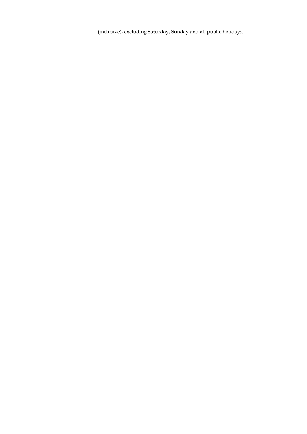(inclusive), excluding Saturday, Sunday and all public holidays.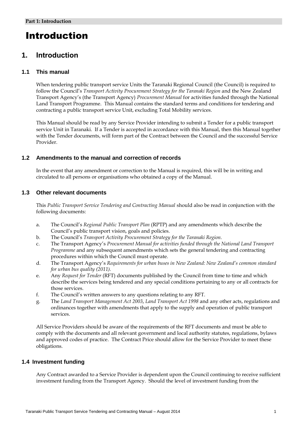## Introduction

## **1. Introduction**

#### **1.1 This manual**

When tendering public transport service Units the Taranaki Regional Council (the Council) is required to follow the Council's *Transport Activity Procurement Strategy for the Taranaki Region* and the New Zealand Transport Agency's (the Transport Agency) *Procurement Manual* for activities funded through the National Land Transport Programme. This Manual contains the standard terms and conditions for tendering and contracting a public transport service Unit, excluding Total Mobility services.

This Manual should be read by any Service Provider intending to submit a Tender for a public transport service Unit in Taranaki. If a Tender is accepted in accordance with this Manual, then this Manual together with the Tender documents, will form part of the Contract between the Council and the successful Service Provider.

#### **1.2 Amendments to the manual and correction of records**

In the event that any amendment or correction to the Manual is required, this will be in writing and circulated to all persons or organisations who obtained a copy of the Manual.

#### **1.3 Other relevant documents**

This *Public Transport Service Tendering and Contracting Manual* should also be read in conjunction with the following documents:

- a. The Council's *Regional Public Transport Plan* (RPTP) and any amendments which describe the Council's public transport vision, goals and policies.
- b. The Council's *Transport Activity Procurement Strategy for the Taranaki Region.*
- c. The Transport Agency's *Procurement Manual for activities funded through the National Land Transport Programme* and any subsequent amendments which sets the general tendering and contracting procedures within which the Council must operate.
- d. The Transport Agency's *Requirements for urban buses in New Zealand: New Zealand's common standard for urban bus quality (2011).*
- e. Any *Request for Tender* (RFT) documents published by the Council from time to time and which describe the services being tendered and any special conditions pertaining to any or all contracts for those services.
- f. The Council's written answers to any questions relating to any RFT.
- g. The *Land Transport Management Act 2003*, *Land Transport Act 1998* and any other acts, regulations and ordinances together with amendments that apply to the supply and operation of public transport services.

All Service Providers should be aware of the requirements of the RFT documents and must be able to comply with the documents and all relevant government and local authority statutes, regulations, bylaws and approved codes of practice. The Contract Price should allow for the Service Provider to meet these obligations.

#### **1.4 Investment funding**

Any Contract awarded to a Service Provider is dependent upon the Council continuing to receive sufficient investment funding from the Transport Agency. Should the level of investment funding from the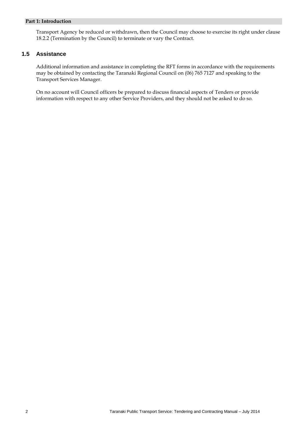#### **Part 1: Introduction**

Transport Agency be reduced or withdrawn, then the Council may choose to exercise its right under clause 18.2.2 (Termination by the Council) to terminate or vary the Contract.

#### **1.5 Assistance**

Additional information and assistance in completing the RFT forms in accordance with the requirements may be obtained by contacting the Taranaki Regional Council on (06) 765 7127 and speaking to the Transport Services Manager.

On no account will Council officers be prepared to discuss financial aspects of Tenders or provide information with respect to any other Service Providers, and they should not be asked to do so.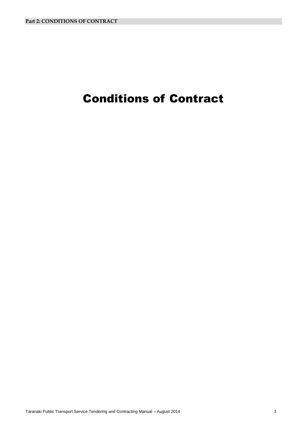## Conditions of Contract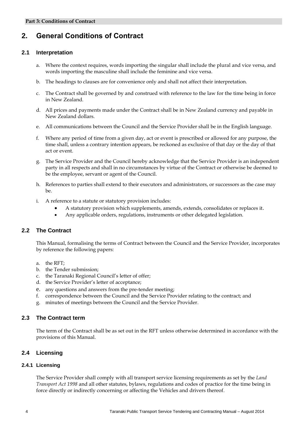## **2. General Conditions of Contract**

#### **2.1 Interpretation**

- a. Where the context requires, words importing the singular shall include the plural and vice versa, and words importing the masculine shall include the feminine and vice versa.
- b. The headings to clauses are for convenience only and shall not affect their interpretation.
- c. The Contract shall be governed by and construed with reference to the law for the time being in force in New Zealand.
- d. All prices and payments made under the Contract shall be in New Zealand currency and payable in New Zealand dollars.
- e. All communications between the Council and the Service Provider shall be in the English language.
- f. Where any period of time from a given day, act or event is prescribed or allowed for any purpose, the time shall, unless a contrary intention appears, be reckoned as exclusive of that day or the day of that act or event.
- g. The Service Provider and the Council hereby acknowledge that the Service Provider is an independent party in all respects and shall in no circumstances by virtue of the Contract or otherwise be deemed to be the employee, servant or agent of the Council.
- h. References to parties shall extend to their executors and administrators, or successors as the case may be.
- i. A reference to a statute or statutory provision includes:
	- A statutory provision which supplements, amends, extends, consolidates or replaces it.
	- Any applicable orders, regulations, instruments or other delegated legislation.

#### **2.2 The Contract**

This Manual, formalising the terms of Contract between the Council and the Service Provider, incorporates by reference the following papers:

- a. the RFT;
- b. the Tender submission;
- c. the Taranaki Regional Council's letter of offer;
- d. the Service Provider's letter of acceptance;
- e. any questions and answers from the pre-tender meeting;
- f. correspondence between the Council and the Service Provider relating to the contract; and
- g. minutes of meetings between the Council and the Service Provider.

#### **2.3 The Contract term**

The term of the Contract shall be as set out in the RFT unless otherwise determined in accordance with the provisions of this Manual.

#### **2.4 Licensing**

#### **2.4.1 Licensing**

The Service Provider shall comply with all transport service licensing requirements as set by the *Land Transport Act 1998* and all other statutes, bylaws, regulations and codes of practice for the time being in force directly or indirectly concerning or affecting the Vehicles and drivers thereof.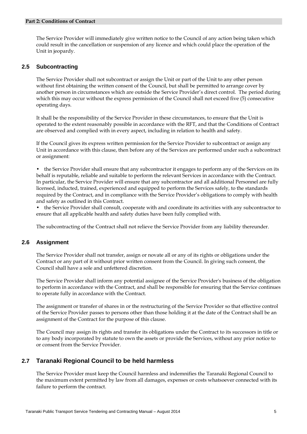#### **Part 2: Conditions of Contract**

The Service Provider will immediately give written notice to the Council of any action being taken which could result in the cancellation or suspension of any licence and which could place the operation of the Unit in jeopardy.

#### **2.5 Subcontracting**

The Service Provider shall not subcontract or assign the Unit or part of the Unit to any other person without first obtaining the written consent of the Council, but shall be permitted to arrange cover by another person in circumstances which are outside the Service Provider's direct control. The period during which this may occur without the express permission of the Council shall not exceed five (5) consecutive operating days.

It shall be the responsibility of the Service Provider in these circumstances, to ensure that the Unit is operated to the extent reasonably possible in accordance with the RFT, and that the Conditions of Contract are observed and complied with in every aspect, including in relation to health and safety.

If the Council gives its express written permission for the Service Provider to subcontract or assign any Unit in accordance with this clause, then before any of the Services are performed under such a subcontract or assignment:

• the Service Provider shall ensure that any subcontractor it engages to perform any of the Services on its behalf is reputable, reliable and suitable to perform the relevant Services in accordance with the Contract. In particular, the Service Provider will ensure that any subcontractor and all additional Personnel are fully licensed, inducted, trained, experienced and equipped to perform the Services safely, to the standards required by the Contract, and in compliance with the Service Provider's obligations to comply with health and safety as outlined in this Contract.

• the Service Provider shall consult, cooperate with and coordinate its activities with any subcontractor to ensure that all applicable health and safety duties have been fully complied with.

The subcontracting of the Contract shall not relieve the Service Provider from any liability thereunder.

#### **2.6 Assignment**

The Service Provider shall not transfer, assign or novate all or any of its rights or obligations under the Contract or any part of it without prior written consent from the Council. In giving such consent, the Council shall have a sole and unfettered discretion.

The Service Provider shall inform any potential assignee of the Service Provider's business of the obligation to perform in accordance with the Contract, and shall be responsible for ensuring that the Service continues to operate fully in accordance with the Contract.

The assignment or transfer of shares in or the restructuring of the Service Provider so that effective control of the Service Provider passes to persons other than those holding it at the date of the Contract shall be an assignment of the Contract for the purpose of this clause.

The Council may assign its rights and transfer its obligations under the Contract to its successors in title or to any body incorporated by statute to own the assets or provide the Services, without any prior notice to or consent from the Service Provider.

#### **2.7 Taranaki Regional Council to be held harmless**

The Service Provider must keep the Council harmless and indemnifies the Taranaki Regional Council to the maximum extent permitted by law from all damages, expenses or costs whatsoever connected with its failure to perform the contract.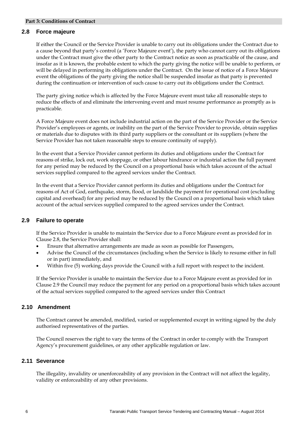#### **2.8 Force majeure**

If either the Council or the Service Provider is unable to carry out its obligations under the Contract due to a cause beyond that party's control (a 'Force Majeure event'), the party who cannot carry out its obligations under the Contract must give the other party to the Contract notice as soon as practicable of the cause, and insofar as it is known, the probable extent to which the party giving the notice will be unable to perform, or will be delayed in performing its obligations under the Contract. On the issue of notice of a Force Majeure event the obligations of the party giving the notice shall be suspended insofar as that party is prevented during the continuation or intervention of such cause to carry out its obligations under the Contract.

The party giving notice which is affected by the Force Majeure event must take all reasonable steps to reduce the effects of and eliminate the intervening event and must resume performance as promptly as is practicable.

A Force Majeure event does not include industrial action on the part of the Service Provider or the Service Provider's employees or agents, or inability on the part of the Service Provider to provide, obtain supplies or materials due to disputes with its third party suppliers or the consultant or its suppliers (where the Service Provider has not taken reasonable steps to ensure continuity of supply).

In the event that a Service Provider cannot perform its duties and obligations under the Contract for reasons of strike, lock out, work stoppage, or other labour hindrance or industrial action the full payment for any period may be reduced by the Council on a proportional basis which takes account of the actual services supplied compared to the agreed services under the Contract.

In the event that a Service Provider cannot perform its duties and obligations under the Contract for reasons of Act of God, earthquake, storm, flood, or landslide the payment for operational cost (excluding capital and overhead) for any period may be reduced by the Council on a proportional basis which takes account of the actual services supplied compared to the agreed services under the Contract.

#### **2.9 Failure to operate**

If the Service Provider is unable to maintain the Service due to a Force Majeure event as provided for in Clause 2.8, the Service Provider shall:

- Ensure that alternative arrangements are made as soon as possible for Passengers,
- Advise the Council of the circumstances (including when the Service is likely to resume either in full or in part) immediately, and
- Within five (5) working days provide the Council with a full report with respect to the incident.

If the Service Provider is unable to maintain the Service due to a Force Majeure event as provided for in Clause 2.9 the Council may reduce the payment for any period on a proportional basis which takes account of the actual services supplied compared to the agreed services under this Contract

#### **2.10 Amendment**

The Contract cannot be amended, modified, varied or supplemented except in writing signed by the duly authorised representatives of the parties.

The Council reserves the right to vary the terms of the Contract in order to comply with the Transport Agency's procurement guidelines, or any other applicable regulation or law.

#### **2.11 Severance**

The illegality, invalidity or unenforceability of any provision in the Contract will not affect the legality, validity or enforceability of any other provisions.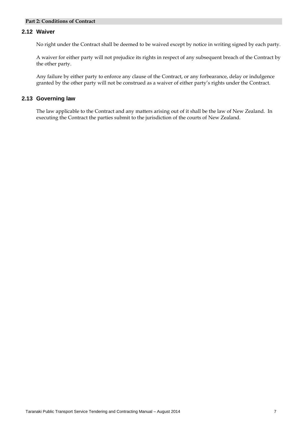#### **Part 2: Conditions of Contract**

#### **2.12 Waiver**

No right under the Contract shall be deemed to be waived except by notice in writing signed by each party.

A waiver for either party will not prejudice its rights in respect of any subsequent breach of the Contract by the other party.

Any failure by either party to enforce any clause of the Contract, or any forbearance, delay or indulgence granted by the other party will not be construed as a waiver of either party's rights under the Contract.

#### **2.13 Governing law**

The law applicable to the Contract and any matters arising out of it shall be the law of New Zealand. In executing the Contract the parties submit to the jurisdiction of the courts of New Zealand.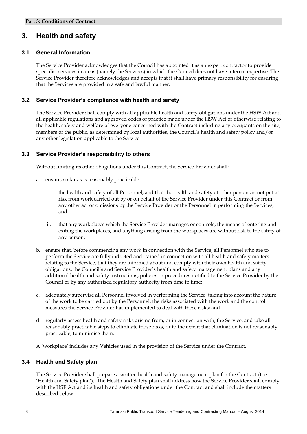## **3. Health and safety**

#### **3.1 General Information**

The Service Provider acknowledges that the Council has appointed it as an expert contractor to provide specialist services in areas (namely the Services) in which the Council does not have internal expertise. The Service Provider therefore acknowledges and accepts that it shall have primary responsibility for ensuring that the Services are provided in a safe and lawful manner.

#### **3.2 Service Provider's compliance with health and safety**

The Service Provider shall comply with all applicable health and safety obligations under the HSW Act and all applicable regulations and approved codes of practice made under the HSW Act or otherwise relating to the health, safety and welfare of everyone concerned with the Contract including any occupants on the site, members of the public, as determined by local authorities, the Council's health and safety policy and/or any other legislation applicable to the Service.

#### **3.3 Service Provider's responsibility to others**

Without limiting its other obligations under this Contract, the Service Provider shall:

- a. ensure, so far as is reasonably practicable:
	- i. the health and safety of all Personnel, and that the health and safety of other persons is not put at risk from work carried out by or on behalf of the Service Provider under this Contract or from any other act or omissions by the Service Provider or the Personnel in performing the Services; and
	- ii. that any workplaces which the Service Provider manages or controls, the means of entering and exiting the workplaces, and anything arising from the workplaces are without risk to the safety of any person;
- b. ensure that, before commencing any work in connection with the Service, all Personnel who are to perform the Service are fully inducted and trained in connection with all health and safety matters relating to the Service, that they are informed about and comply with their own health and safety obligations, the Council's and Service Provider's health and safety management plans and any additional health and safety instructions, policies or procedures notified to the Service Provider by the Council or by any authorised regulatory authority from time to time;
- c. adequately supervise all Personnel involved in performing the Service, taking into account the nature of the work to be carried out by the Personnel, the risks associated with the work and the control measures the Service Provider has implemented to deal with these risks; and
- d. regularly assess health and safety risks arising from, or in connection with, the Service, and take all reasonably practicable steps to eliminate those risks, or to the extent that elimination is not reasonably practicable, to minimise them.

A 'workplace' includes any Vehicles used in the provision of the Service under the Contract.

#### **3.4 Health and Safety plan**

The Service Provider shall prepare a written health and safety management plan for the Contract (the 'Health and Safety plan'). The Health and Safety plan shall address how the Service Provider shall comply with the HSE Act and its health and safety obligations under the Contract and shall include the matters described below.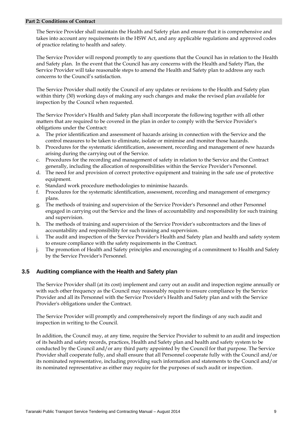#### **Part 2: Conditions of Contract**

The Service Provider shall maintain the Health and Safety plan and ensure that it is comprehensive and takes into account any requirements in the HSW Act, and any applicable regulations and approved codes of practice relating to health and safety.

The Service Provider will respond promptly to any questions that the Council has in relation to the Health and Safety plan. In the event that the Council has any concerns with the Health and Safety Plan, the Service Provider will take reasonable steps to amend the Health and Safety plan to address any such concerns to the Council's satisfaction.

The Service Provider shall notify the Council of any updates or revisions to the Health and Safety plan within thirty (30) working days of making any such changes and make the revised plan available for inspection by the Council when requested.

The Service Provider's Health and Safety plan shall incorporate the following together with all other matters that are required to be covered in the plan in order to comply with the Service Provider's obligations under the Contract:

- a. The prior identification and assessment of hazards arising in connection with the Service and the control measures to be taken to eliminate, isolate or minimise and monitor those hazards.
- b. Procedures for the systematic identification, assessment, recording and management of new hazards arising during the carrying out of the Service.
- c. Procedures for the recording and management of safety in relation to the Service and the Contract generally, including the allocation of responsibilities within the Service Provider's Personnel.
- d. The need for and provision of correct protective equipment and training in the safe use of protective equipment.
- e. Standard work procedure methodologies to minimise hazards.
- f. Procedures for the systematic identification, assessment, recording and management of emergency plans.
- g. The methods of training and supervision of the Service Provider's Personnel and other Personnel engaged in carrying out the Service and the lines of accountability and responsibility for such training and supervision.
- h. The methods of training and supervision of the Service Provider's subcontractors and the lines of accountability and responsibility for such training and supervision.
- i. The audit and inspection of the Service Provider's Health and Safety plan and health and safety system to ensure compliance with the safety requirements in the Contract.
- j. The promotion of Health and Safety principles and encouraging of a commitment to Health and Safety by the Service Provider's Personnel.

#### **3.5 Auditing compliance with the Health and Safety plan**

The Service Provider shall (at its cost) implement and carry out an audit and inspection regime annually or with such other frequency as the Council may reasonably require to ensure compliance by the Service Provider and all its Personnel with the Service Provider's Health and Safety plan and with the Service Provider's obligations under the Contract.

The Service Provider will promptly and comprehensively report the findings of any such audit and inspection in writing to the Council.

In addition, the Council may, at any time, require the Service Provider to submit to an audit and inspection of its health and safety records, practices, Health and Safety plan and health and safety system to be conducted by the Council and/or any third party appointed by the Council for that purpose. The Service Provider shall cooperate fully, and shall ensure that all Personnel cooperate fully with the Council and/or its nominated representative, including providing such information and statements to the Council and/or its nominated representative as either may require for the purposes of such audit or inspection.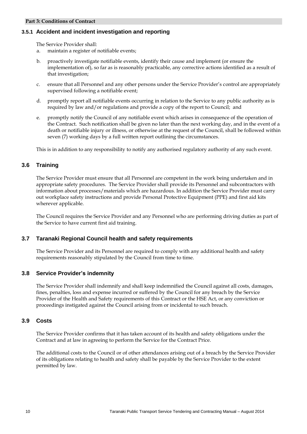#### **3.5.1 Accident and incident investigation and reporting**

The Service Provider shall:

- a. maintain a register of notifiable events;
- b. proactively investigate notifiable events, identify their cause and implement (or ensure the implementation of), so far as is reasonably practicable, any corrective actions identified as a result of that investigation;
- c. ensure that all Personnel and any other persons under the Service Provider's control are appropriately supervised following a notifiable event;
- d. promptly report all notifiable events occurring in relation to the Service to any public authority as is required by law and/or regulations and provide a copy of the report to Council; and
- e. promptly notify the Council of any notifiable event which arises in consequence of the operation of the Contract. Such notification shall be given no later than the next working day, and in the event of a death or notifiable injury or illness, or otherwise at the request of the Council, shall be followed within seven (7) working days by a full written report outlining the circumstances.

This is in addition to any responsibility to notify any authorised regulatory authority of any such event.

#### **3.6 Training**

The Service Provider must ensure that all Personnel are competent in the work being undertaken and in appropriate safety procedures. The Service Provider shall provide its Personnel and subcontractors with information about processes/materials which are hazardous. In addition the Service Provider must carry out workplace safety instructions and provide Personal Protective Equipment (PPE) and first aid kits wherever applicable.

The Council requires the Service Provider and any Personnel who are performing driving duties as part of the Service to have current first aid training.

#### **3.7 Taranaki Regional Council health and safety requirements**

The Service Provider and its Personnel are required to comply with any additional health and safety requirements reasonably stipulated by the Council from time to time.

#### **3.8 Service Provider's indemnity**

The Service Provider shall indemnify and shall keep indemnified the Council against all costs, damages, fines, penalties, loss and expense incurred or suffered by the Council for any breach by the Service Provider of the Health and Safety requirements of this Contract or the HSE Act, or any conviction or proceedings instigated against the Council arising from or incidental to such breach.

#### **3.9 Costs**

The Service Provider confirms that it has taken account of its health and safety obligations under the Contract and at law in agreeing to perform the Service for the Contract Price.

The additional costs to the Council or of other attendances arising out of a breach by the Service Provider of its obligations relating to health and safety shall be payable by the Service Provider to the extent permitted by law.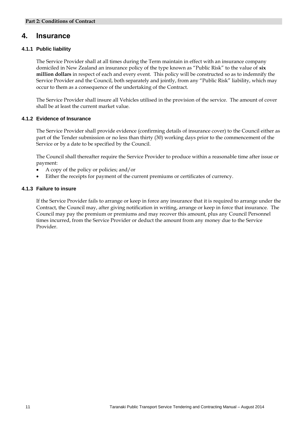### **4. Insurance**

#### **4.1.1 Public liability**

The Service Provider shall at all times during the Term maintain in effect with an insurance company domiciled in New Zealand an insurance policy of the type known as "Public Risk" to the value of **six million dollars** in respect of each and every event. This policy will be constructed so as to indemnify the Service Provider and the Council, both separately and jointly, from any "Public Risk" liability, which may occur to them as a consequence of the undertaking of the Contract.

The Service Provider shall insure all Vehicles utilised in the provision of the service. The amount of cover shall be at least the current market value.

#### **4.1.2 Evidence of Insurance**

The Service Provider shall provide evidence (confirming details of insurance cover) to the Council either as part of the Tender submission or no less than thirty (30) working days prior to the commencement of the Service or by a date to be specified by the Council.

The Council shall thereafter require the Service Provider to produce within a reasonable time after issue or payment:

- A copy of the policy or policies; and/or
- Either the receipts for payment of the current premiums or certificates of currency.

#### **4.1.3 Failure to insure**

If the Service Provider fails to arrange or keep in force any insurance that it is required to arrange under the Contract, the Council may, after giving notification in writing, arrange or keep in force that insurance. The Council may pay the premium or premiums and may recover this amount, plus any Council Personnel times incurred, from the Service Provider or deduct the amount from any money due to the Service Provider.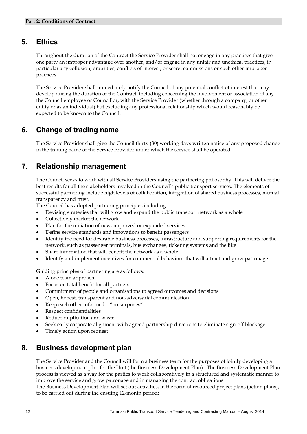### **5. Ethics**

Throughout the duration of the Contract the Service Provider shall not engage in any practices that give one party an improper advantage over another, and/or engage in any unfair and unethical practices, in particular any collusion, gratuities, conflicts of interest, or secret commissions or such other improper practices.

The Service Provider shall immediately notify the Council of any potential conflict of interest that may develop during the duration of the Contract, including concerning the involvement or association of any the Council employee or Councillor, with the Service Provider (whether through a company, or other entity or as an individual) but excluding any professional relationship which would reasonably be expected to be known to the Council.

### **6. Change of trading name**

The Service Provider shall give the Council thirty (30) working days written notice of any proposed change in the trading name of the Service Provider under which the service shall be operated.

## **7. Relationship management**

The Council seeks to work with all Service Providers using the partnering philosophy. This will deliver the best results for all the stakeholders involved in the Council's public transport services. The elements of successful partnering include high levels of collaboration, integration of shared business processes, mutual transparency and trust.

The Council has adopted partnering principles including:

- Devising strategies that will grow and expand the public transport network as a whole
- Collectively market the network
- Plan for the initiation of new, improved or expanded services
- Define service standards and innovations to benefit passengers
- Identify the need for desirable business processes, infrastructure and supporting requirements for the network, such as passenger terminals, bus exchanges, ticketing systems and the like
- Share information that will benefit the network as a whole
- Identify and implement incentives for commercial behaviour that will attract and grow patronage.

Guiding principles of partnering are as follows:

- A one team approach
- Focus on total benefit for all partners
- Commitment of people and organisations to agreed outcomes and decisions
- Open, honest, transparent and non-adversarial communication
- Keep each other informed "no surprises"
- Respect confidentialities
- Reduce duplication and waste
- Seek early corporate alignment with agreed partnership directions to eliminate sign-off blockage
- Timely action upon request

### **8. Business development plan**

The Service Provider and the Council will form a business team for the purposes of jointly developing a business development plan for the Unit (the Business Development Plan). The Business Development Plan process is viewed as a way for the parties to work collaboratively in a structured and systematic manner to improve the service and grow patronage and in managing the contract obligations.

The Business Development Plan will set out activities, in the form of resourced project plans (action plans), to be carried out during the ensuing 12-month period: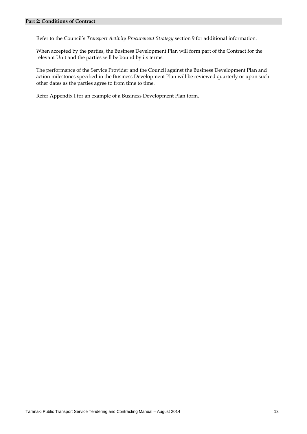Refer to the Council's *Transport Activity Procurement Strategy* section 9 for additional information.

When accepted by the parties, the Business Development Plan will form part of the Contract for the relevant Unit and the parties will be bound by its terms.

The performance of the Service Provider and the Council against the Business Development Plan and action milestones specified in the Business Development Plan will be reviewed quarterly or upon such other dates as the parties agree to from time to time.

Refer Appendix I for an example of a Business Development Plan form.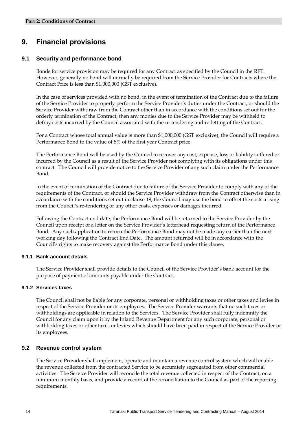## **9. Financial provisions**

#### **9.1 Security and performance bond**

Bonds for service provision may be required for any Contract as specified by the Council in the RFT. However, generally no bond will normally be required from the Service Provider for Contracts where the Contract Price is less than \$1,000,000 (GST exclusive).

In the case of services provided with no bond, in the event of termination of the Contract due to the failure of the Service Provider to properly perform the Service Provider's duties under the Contract, or should the Service Provider withdraw from the Contract other than in accordance with the conditions set out for the orderly termination of the Contract, then any monies due to the Service Provider may be withheld to defray costs incurred by the Council associated with the re-tendering and re-letting of the Contract.

For a Contract whose total annual value is more than \$1,000,000 (GST exclusive), the Council will require a Performance Bond to the value of 5% of the first year Contract price.

The Performance Bond will be used by the Council to recover any cost, expense, loss or liability suffered or incurred by the Council as a result of the Service Provider not complying with its obligations under this contract. The Council will provide notice to the Service Provider of any such claim under the Performance Bond.

In the event of termination of the Contract due to failure of the Service Provider to comply with any of the requirements of the Contract, or should the Service Provider withdraw from the Contract otherwise than in accordance with the conditions set out in clause 19, the Council may use the bond to offset the costs arising from the Council's re-tendering or any other costs, expenses or damages incurred.

Following the Contract end date, the Performance Bond will be returned to the Service Provider by the Council upon receipt of a letter on the Service Provider's letterhead requesting return of the Performance Bond. Any such application to return the Performance Bond may not be made any earlier than the next working day following the Contract End Date. The amount returned will be in accordance with the Council's rights to make recovery against the Performance Bond under this clause.

#### **9.1.1 Bank account details**

The Service Provider shall provide details to the Council of the Service Provider's bank account for the purpose of payment of amounts payable under the Contract.

#### **9.1.2 Services taxes**

The Council shall not be liable for any corporate, personal or withholding taxes or other taxes and levies in respect of the Service Provider or its employees. The Service Provider warrants that no such taxes or withholdings are applicable in relation to the Services. The Service Provider shall fully indemnify the Council for any claim upon it by the Inland Revenue Department for any such corporate, personal or withholding taxes or other taxes or levies which should have been paid in respect of the Service Provider or its employees.

#### **9.2 Revenue control system**

The Service Provider shall implement, operate and maintain a revenue control system which will enable the revenue collected from the contracted Service to be accurately segregated from other commercial activities. The Service Provider will reconcile the total revenue collected in respect of the Contract, on a minimum monthly basis, and provide a record of the reconciliation to the Council as part of the reporting requirements.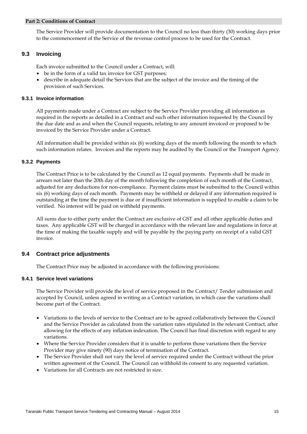#### **Part 2: Conditions of Contract**

The Service Provider will provide documentation to the Council no less than thirty (30) working days prior to the commencement of the Service of the revenue control process to be used for the Contract.

#### **9.3 Invoicing**

Each invoice submitted to the Council under a Contract, will:

- be in the form of a valid tax invoice for GST purposes;
- describe in adequate detail the Services that are the subject of the invoice and the timing of the provision of such Services.

#### **9.3.1 Invoice information**

All payments made under a Contract are subject to the Service Provider providing all information as required in the reports as detailed in a Contract and such other information requested by the Council by the due date and as and when the Council requests, relating to any amount invoiced or proposed to be invoiced by the Service Provider under a Contract.

All information shall be provided within six (6) working days of the month following the month to which such information relates. Invoices and the reports may be audited by the Council or the Transport Agency.

#### **9.3.2 Payments**

The Contract Price is to be calculated by the Council as 12 equal payments. Payments shall be made in arrears not later than the 20th day of the month following the completion of each month of the Contract, adjusted for any deductions for non-compliance. Payment claims must be submitted to the Council within six (6) working days of each month. Payments may be withheld or delayed if any information required is outstanding at the time the payment is due or if insufficient information is supplied to enable a claim to be verified. No interest will be paid on withheld payments.

All sums due to either party under the Contract are exclusive of GST and all other applicable duties and taxes. Any applicable GST will be charged in accordance with the relevant law and regulations in force at the time of making the taxable supply and will be payable by the paying party on receipt of a valid GST invoice.

#### **9.4 Contract price adjustments**

The Contract Price may be adjusted in accordance with the following provisions:

#### **9.4.1 Service level variations**

The Service Provider will provide the level of service proposed in the Contract/ Tender submission and accepted by Council, unless agreed in writing as a Contract variation, in which case the variations shall become part of the Contract.

- Variations to the levels of service to the Contract are to be agreed collaboratively between the Council and the Service Provider as calculated from the variation rates stipulated in the relevant Contract, after allowing for the effects of any inflation indexation. The Council has final discretion with regard to any variations.
- Where the Service Provider considers that it is unable to perform those variations then the Service Provider may give ninety (90) days notice of termination of the Contract.
- The Service Provider shall not vary the level of service required under the Contract without the prior written agreement of the Council. The Council can withhold its consent to any requested variation.
- Variations for all Contracts are not restricted in size.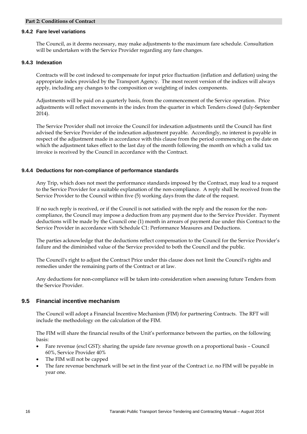#### **Part 2: Conditions of Contract**

#### **9.4.2 Fare level variations**

The Council, as it deems necessary, may make adjustments to the maximum fare schedule. Consultation will be undertaken with the Service Provider regarding any fare changes.

#### **9.4.3 Indexation**

Contracts will be cost indexed to compensate for input price fluctuation (inflation and deflation) using the appropriate index provided by the Transport Agency. The most recent version of the indices will always apply, including any changes to the composition or weighting of index components.

Adjustments will be paid on a quarterly basis, from the commencement of the Service operation. Price adjustments will reflect movements in the index from the quarter in which Tenders closed (July-September 2014).

The Service Provider shall not invoice the Council for indexation adjustments until the Council has first advised the Service Provider of the indexation adjustment payable. Accordingly, no interest is payable in respect of the adjustment made in accordance with this clause from the period commencing on the date on which the adjustment takes effect to the last day of the month following the month on which a valid tax invoice is received by the Council in accordance with the Contract.

#### **9.4.4 Deductions for non-compliance of performance standards**

Any Trip, which does not meet the performance standards imposed by the Contract, may lead to a request to the Service Provider for a suitable explanation of the non-compliance. A reply shall be received from the Service Provider to the Council within five (5) working days from the date of the request.

If no such reply is received, or if the Council is not satisfied with the reply and the reason for the noncompliance, the Council may impose a deduction from any payment due to the Service Provider. Payment deductions will be made by the Council one (1) month in arrears of payment due under this Contract to the Service Provider in accordance with Schedule C1: Performance Measures and Deductions.

The parties acknowledge that the deductions reflect compensation to the Council for the Service Provider's failure and the diminished value of the Service provided to both the Council and the public.

The Council's right to adjust the Contract Price under this clause does not limit the Council's rights and remedies under the remaining parts of the Contract or at law.

Any deductions for non-compliance will be taken into consideration when assessing future Tenders from the Service Provider.

#### **9.5 Financial incentive mechanism**

The Council will adopt a Financial Incentive Mechanism (FIM) for partnering Contracts. The RFT will include the methodology on the calculation of the FIM.

The FIM will share the financial results of the Unit's performance between the parties, on the following basis:

- Fare revenue (excl GST): sharing the upside fare revenue growth on a proportional basis Council 60%, Service Provider 40%
- The FIM will not be capped
- The fare revenue benchmark will be set in the first year of the Contract i.e. no FIM will be payable in year one.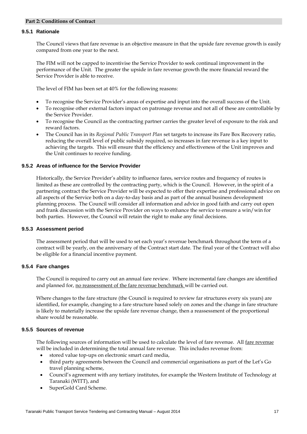#### **9.5.1 Rationale**

The Council views that fare revenue is an objective measure in that the upside fare revenue growth is easily compared from one year to the next.

The FIM will not be capped to incentivise the Service Provider to seek continual improvement in the performance of the Unit. The greater the upside in fare revenue growth the more financial reward the Service Provider is able to receive.

The level of FIM has been set at 40% for the following reasons:

- To recognise the Service Provider's areas of expertise and input into the overall success of the Unit.
- To recognise other external factors impact on patronage revenue and not all of these are controllable by the Service Provider.
- To recognise the Council as the contracting partner carries the greater level of exposure to the risk and reward factors.
- The Council has in its *Regional Public Transport Plan* set targets to increase its Fare Box Recovery ratio, reducing the overall level of public subsidy required, so increases in fare revenue is a key input to achieving the targets. This will ensure that the efficiency and effectiveness of the Unit improves and the Unit continues to receive funding.

#### **9.5.2 Areas of influence for the Service Provider**

Historically, the Service Provider's ability to influence fares, service routes and frequency of routes is limited as these are controlled by the contracting party, which is the Council. However, in the spirit of a partnering contract the Service Provider will be expected to offer their expertise and professional advice on all aspects of the Service both on a day-to-day basis and as part of the annual business development planning process. The Council will consider all information and advice in good faith and carry out open and frank discussion with the Service Provider on ways to enhance the service to ensure a win/win for both parties. However, the Council will retain the right to make any final decisions.

#### **9.5.3 Assessment period**

The assessment period that will be used to set each year's revenue benchmark throughout the term of a contract will be yearly, on the anniversary of the Contract start date. The final year of the Contract will also be eligible for a financial incentive payment.

#### **9.5.4 Fare changes**

The Council is required to carry out an annual fare review. Where incremental fare changes are identified and planned for, no reassessment of the fare revenue benchmark will be carried out.

Where changes to the fare structure (the Council is required to review far structures every six years) are identified, for example, changing to a fare structure based solely on zones and the change in fare structure is likely to materially increase the upside fare revenue change, then a reassessment of the proportional share would be reasonable.

#### **9.5.5 Sources of revenue**

The following sources of information will be used to calculate the level of fare revenue. All fare revenue will be included in determining the total annual fare revenue. This includes revenue from:

- stored value top-ups on electronic smart card media,
- third party agreements between the Council and commercial organisations as part of the Let's Go travel planning scheme,
- Council's agreement with any tertiary institutes, for example the Western Institute of Technology at Taranaki (WITT), and
- SuperGold Card Scheme.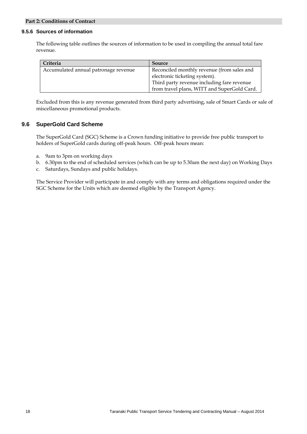#### **9.5.6 Sources of information**

The following table outlines the sources of information to be used in compiling the annual total fare revenue.

| Criteria                             | Source                                      |
|--------------------------------------|---------------------------------------------|
| Accumulated annual patronage revenue | Reconciled monthly revenue (from sales and  |
|                                      | electronic ticketing system).               |
|                                      | Third party revenue including fare revenue  |
|                                      | from travel plans, WITT and SuperGold Card. |

Excluded from this is any revenue generated from third party advertising, sale of Smart Cards or sale of miscellaneous promotional products.

#### **9.6 SuperGold Card Scheme**

The SuperGold Card (SGC) Scheme is a Crown funding initiative to provide free public transport to holders of SuperGold cards during off-peak hours. Off-peak hours mean:

- a. 9am to 3pm on working days
- b. 6.30pm to the end of scheduled services (which can be up to 5.30am the next day) on Working Days
- c. Saturdays, Sundays and public holidays.

The Service Provider will participate in and comply with any terms and obligations required under the SGC Scheme for the Units which are deemed eligible by the Transport Agency.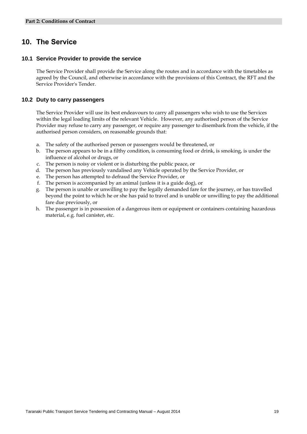## **10. The Service**

#### **10.1 Service Provider to provide the service**

The Service Provider shall provide the Service along the routes and in accordance with the timetables as agreed by the Council, and otherwise in accordance with the provisions of this Contract, the RFT and the Service Provider's Tender.

#### **10.2 Duty to carry passengers**

The Service Provider will use its best endeavours to carry all passengers who wish to use the Services within the legal loading limits of the relevant Vehicle. However, any authorised person of the Service Provider may refuse to carry any passenger, or require any passenger to disembark from the vehicle, if the authorised person considers, on reasonable grounds that:

- a. The safety of the authorised person or passengers would be threatened, or
- b. The person appears to be in a filthy condition, is consuming food or drink, is smoking, is under the influence of alcohol or drugs, or
- c. The person is noisy or violent or is disturbing the public peace, or
- d. The person has previously vandalised any Vehicle operated by the Service Provider, or
- e. The person has attempted to defraud the Service Provider, or
- f. The person is accompanied by an animal (unless it is a guide dog), or
- g. The person is unable or unwilling to pay the legally demanded fare for the journey, or has travelled beyond the point to which he or she has paid to travel and is unable or unwilling to pay the additional fare due previously, or
- h. The passenger is in possession of a dangerous item or equipment or containers containing hazardous material, e.g. fuel canister, etc.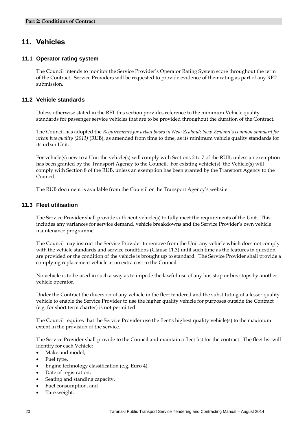## **11. Vehicles**

#### **11.1 Operator rating system**

The Council intends to monitor the Service Provider's Operator Rating System score throughout the term of the Contract. Service Providers will be requested to provide evidence of their rating as part of any RFT submission.

#### **11.2 Vehicle standards**

Unless otherwise stated in the RFT this section provides reference to the minimum Vehicle quality standards for passenger service vehicles that are to be provided throughout the duration of the Contract.

The Council has adopted the *Requirements for urban buses in New Zealand*: *New Zealand's common standard for urban bus quality (2011)* (RUB), as amended from time to time, as its minimum vehicle quality standards for its urban Unit.

For vehicle(s) new to a Unit the vehicle(s) will comply with Sections 2 to 7 of the RUB, unless an exemption has been granted by the Transport Agency to the Council. For existing vehicle(s), the Vehicle(s) will comply with Section 8 of the RUB, unless an exemption has been granted by the Transport Agency to the Council.

The RUB document is available from the Council or the Transport Agency's website.

#### **11.3 Fleet utilisation**

The Service Provider shall provide sufficient vehicle(s) to fully meet the requirements of the Unit. This includes any variances for service demand, vehicle breakdowns and the Service Provider's own vehicle maintenance programme.

The Council may instruct the Service Provider to remove from the Unit any vehicle which does not comply with the vehicle standards and service conditions (Clause 11.3) until such time as the features in question are provided or the condition of the vehicle is brought up to standard. The Service Provider shall provide a complying replacement vehicle at no extra cost to the Council.

No vehicle is to be used in such a way as to impede the lawful use of any bus stop or bus stops by another vehicle operator.

Under the Contract the diversion of any vehicle in the fleet tendered and the substituting of a lesser quality vehicle to enable the Service Provider to use the higher quality vehicle for purposes outside the Contract (e.g. for short term charter) is not permitted.

The Council requires that the Service Provider use the fleet's highest quality vehicle(s) to the maximum extent in the provision of the service.

The Service Provider shall provide to the Council and maintain a fleet list for the contract. The fleet list will identify for each Vehicle:

- Make and model,
- Fuel type,
- Engine technology classification (e.g. Euro 4),
- Date of registration,
- Seating and standing capacity,
- Fuel consumption, and
- Tare weight.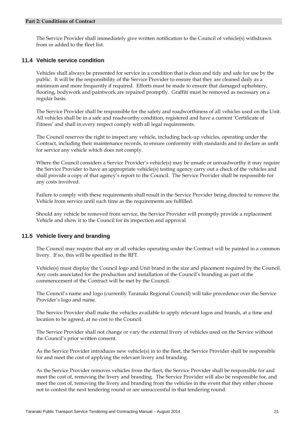The Service Provider shall immediately give written notification to the Council of vehicle(s) withdrawn from or added to the fleet list.

#### **11.4 Vehicle service condition**

Vehicles shall always be presented for service in a condition that is clean and tidy and safe for use by the public. It will be the responsibility of the Service Provider to ensure that they are cleaned daily as a minimum and more frequently if required. Efforts must be made to ensure that damaged upholstery, flooring, bodywork and paintwork are repaired promptly. Graffiti must be removed as necessary on a regular basis.

The Service Provider shall be responsible for the safety and roadworthiness of all vehicles used on the Unit. All vehicles shall be in a safe and roadworthy condition, registered and have a current 'Certificate of Fitness' and shall in every respect comply with all legal requirements.

The Council reserves the right to inspect any vehicle, including back-up vehicles, operating under the Contract, including their maintenance records, to ensure conformity with standards and to declare as unfit for service any vehicle which does not comply.

Where the Council considers a Service Provider's vehicle(s) may be unsafe or unroadworthy it may require the Service Provider to have an appropriate vehicle(s) testing agency carry out a check of the vehicles and shall provide a copy of that agency's report to the Council. The Service Provider shall be responsible for any costs involved.

Failure to comply with these requirements shall result in the Service Provider being directed to remove the Vehicle from service until such time as the requirements are fulfilled.

Should any vehicle be removed from service, the Service Provider will promptly provide a replacement Vehicle and show it to the Council for its inspection and approval.

#### **11.5 Vehicle livery and branding**

The Council may require that any or all vehicles operating under the Contract will be painted in a common livery. If so, this will be specified in the RFT.

Vehicle(s) must display the Council logo and Unit brand in the size and placement required by the Council. Any costs associated for the production and installation of the Council's branding as part of the commencement of the Contract will be met by the Council.

The Council's name and logo (currently Taranaki Regional Council) will take precedence over the Service Provider's logo and name.

The Service Provider shall make the vehicles available to apply relevant logos and brands, at a time and location to be agreed, at no cost to the Council.

The Service Provider shall not change or vary the external livery of vehicles used on the Service without the Council's prior written consent.

As the Service Provider introduces new vehicle(s) in to the fleet, the Service Provider shall be responsible for and meet the cost of applying the relevant livery and branding.

As the Service Provider removes vehicles from the fleet, the Service Provider shall be responsible for and meet the cost of, removing the livery and branding. The Service Provider will also be responsible for, and meet the cost of, removing the livery and branding from the vehicles in the event that they either choose not to contest the next tendering round or are unsuccessful in that tendering round.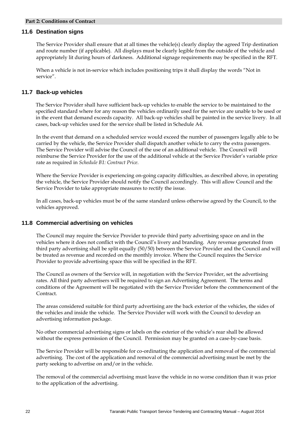#### **11.6 Destination signs**

The Service Provider shall ensure that at all times the vehicle(s) clearly display the agreed Trip destination and route number (if applicable). All displays must be clearly legible from the outside of the vehicle and appropriately lit during hours of darkness. Additional signage requirements may be specified in the RFT.

When a vehicle is not in-service which includes positioning trips it shall display the words "Not in service".

#### **11.7 Back-up vehicles**

The Service Provider shall have sufficient back-up vehicles to enable the service to be maintained to the specified standard where for any reason the vehicles ordinarily used for the service are unable to be used or in the event that demand exceeds capacity. All back-up vehicles shall be painted in the service livery. In all cases, back-up vehicles used for the service shall be listed in Schedule A4.

In the event that demand on a scheduled service would exceed the number of passengers legally able to be carried by the vehicle, the Service Provider shall dispatch another vehicle to carry the extra passengers. The Service Provider will advise the Council of the use of an additional vehicle. The Council will reimburse the Service Provider for the use of the additional vehicle at the Service Provider's variable price rate as required in *Schedule B1: Contract Price*.

Where the Service Provider is experiencing on-going capacity difficulties, as described above, in operating the vehicle, the Service Provider should notify the Council accordingly. This will allow Council and the Service Provider to take appropriate measures to rectify the issue.

In all cases, back-up vehicles must be of the same standard unless otherwise agreed by the Council, to the vehicles approved.

#### **11.8 Commercial advertising on vehicles**

The Council may require the Service Provider to provide third party advertising space on and in the vehicles where it does not conflict with the Council's livery and branding. Any revenue generated from third party advertising shall be split equally (50/50) between the Service Provider and the Council and will be treated as revenue and recorded on the monthly invoice. Where the Council requires the Service Provider to provide advertising space this will be specified in the RFT.

The Council as owners of the Service will, in negotiation with the Service Provider, set the advertising rates. All third party advertisers will be required to sign an Advertising Agreement. The terms and conditions of the Agreement will be negotiated with the Service Provider before the commencement of the Contract.

The areas considered suitable for third party advertising are the back exterior of the vehicles, the sides of the vehicles and inside the vehicle. The Service Provider will work with the Council to develop an advertising information package.

No other commercial advertising signs or labels on the exterior of the vehicle's rear shall be allowed without the express permission of the Council. Permission may be granted on a case-by-case basis.

The Service Provider will be responsible for co-ordinating the application and removal of the commercial advertising. The cost of the application and removal of the commercial advertising must be met by the party seeking to advertise on and/or in the vehicle.

The removal of the commercial advertising must leave the vehicle in no worse condition than it was prior to the application of the advertising.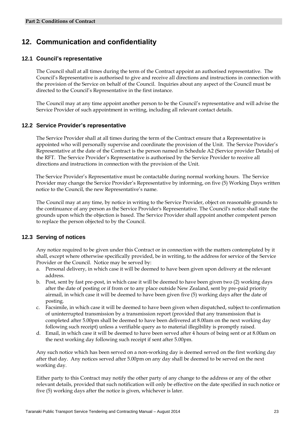## **12. Communication and confidentiality**

#### **12.1 Council's representative**

The Council shall at all times during the term of the Contract appoint an authorised representative. The Council's Representative is authorised to give and receive all directions and instructions in connection with the provision of the Service on behalf of the Council. Inquiries about any aspect of the Council must be directed to the Council's Representative in the first instance.

The Council may at any time appoint another person to be the Council's representative and will advise the Service Provider of such appointment in writing, including all relevant contact details.

#### **12.2 Service Provider's representative**

The Service Provider shall at all times during the term of the Contract ensure that a Representative is appointed who will personally supervise and coordinate the provision of the Unit. The Service Provider's Representative at the date of the Contract is the person named in Schedule A2 (Service provider Details) of the RFT. The Service Provider's Representative is authorised by the Service Provider to receive all directions and instructions in connection with the provision of the Unit.

The Service Provider's Representative must be contactable during normal working hours. The Service Provider may change the Service Provider's Representative by informing, on five (5) Working Days written notice to the Council, the new Representative's name.

The Council may at any time, by notice in writing to the Service Provider, object on reasonable grounds to the continuance of any person as the Service Provider's Representative. The Council's notice shall state the grounds upon which the objection is based. The Service Provider shall appoint another competent person to replace the person objected to by the Council.

#### **12.3 Serving of notices**

Any notice required to be given under this Contract or in connection with the matters contemplated by it shall, except where otherwise specifically provided, be in writing, to the address for service of the Service Provider or the Council. Notice may be served by:

- a. Personal delivery, in which case it will be deemed to have been given upon delivery at the relevant address.
- b. Post, sent by fast pre-post, in which case it will be deemed to have been given two (2) working days after the date of posting or if from or to any place outside New Zealand, sent by pre-paid priority airmail, in which case it will be deemed to have been given five (5) working days after the date of posting.
- c. Facsimile, in which case it will be deemed to have been given when dispatched, subject to confirmation of uninterrupted transmission by a transmission report (provided that any transmission that is completed after 5.00pm shall be deemed to have been delivered at 8.00am on the next working day following such receipt) unless a verifiable query as to material illegibility is promptly raised.
- d. Email, in which case it will be deemed to have been served after 4 hours of being sent or at 8.00am on the next working day following such receipt if sent after 5.00pm.

Any such notice which has been served on a non-working day is deemed served on the first working day after that day. Any notices served after 5.00pm on any day shall be deemed to be served on the next working day.

Either party to this Contract may notify the other party of any change to the address or any of the other relevant details, provided that such notification will only be effective on the date specified in such notice or five (5) working days after the notice is given, whichever is later.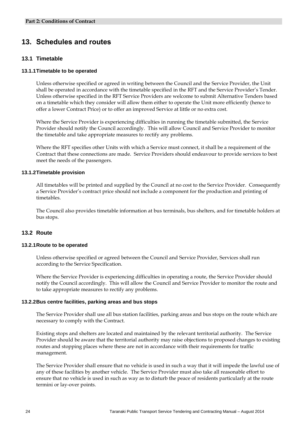## **13. Schedules and routes**

#### **13.1 Timetable**

#### **13.1.1 Timetable to be operated**

Unless otherwise specified or agreed in writing between the Council and the Service Provider, the Unit shall be operated in accordance with the timetable specified in the RFT and the Service Provider's Tender. Unless otherwise specified in the RFT Service Providers are welcome to submit Alternative Tenders based on a timetable which they consider will allow them either to operate the Unit more efficiently (hence to offer a lower Contract Price) or to offer an improved Service at little or no extra cost.

Where the Service Provider is experiencing difficulties in running the timetable submitted, the Service Provider should notify the Council accordingly. This will allow Council and Service Provider to monitor the timetable and take appropriate measures to rectify any problems.

Where the RFT specifies other Units with which a Service must connect, it shall be a requirement of the Contract that these connections are made. Service Providers should endeavour to provide services to best meet the needs of the passengers.

#### **13.1.2 Timetable provision**

All timetables will be printed and supplied by the Council at no cost to the Service Provider. Consequently a Service Provider's contract price should not include a component for the production and printing of timetables.

The Council also provides timetable information at bus terminals, bus shelters, and for timetable holders at bus stops.

#### **13.2 Route**

#### **13.2.1 Route to be operated**

Unless otherwise specified or agreed between the Council and Service Provider, Services shall run according to the Service Specification.

Where the Service Provider is experiencing difficulties in operating a route, the Service Provider should notify the Council accordingly. This will allow the Council and Service Provider to monitor the route and to take appropriate measures to rectify any problems.

#### **13.2.2 Bus centre facilities, parking areas and bus stops**

The Service Provider shall use all bus station facilities, parking areas and bus stops on the route which are necessary to comply with the Contract.

Existing stops and shelters are located and maintained by the relevant territorial authority. The Service Provider should be aware that the territorial authority may raise objections to proposed changes to existing routes and stopping places where these are not in accordance with their requirements for traffic management.

The Service Provider shall ensure that no vehicle is used in such a way that it will impede the lawful use of any of these facilities by another vehicle. The Service Provider must also take all reasonable effort to ensure that no vehicle is used in such as way as to disturb the peace of residents particularly at the route termini or lay-over points.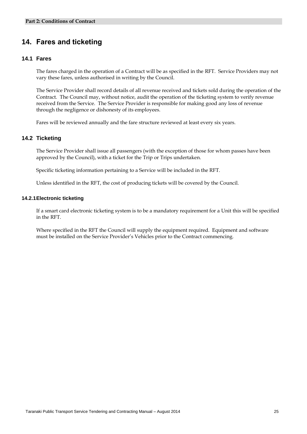## **14. Fares and ticketing**

#### **14.1 Fares**

The fares charged in the operation of a Contract will be as specified in the RFT. Service Providers may not vary these fares, unless authorised in writing by the Council.

The Service Provider shall record details of all revenue received and tickets sold during the operation of the Contract. The Council may, without notice, audit the operation of the ticketing system to verify revenue received from the Service. The Service Provider is responsible for making good any loss of revenue through the negligence or dishonesty of its employees.

Fares will be reviewed annually and the fare structure reviewed at least every six years.

#### **14.2 Ticketing**

The Service Provider shall issue all passengers (with the exception of those for whom passes have been approved by the Council), with a ticket for the Trip or Trips undertaken.

Specific ticketing information pertaining to a Service will be included in the RFT.

Unless identified in the RFT, the cost of producing tickets will be covered by the Council.

#### **14.2.1 Electronic ticketing**

If a smart card electronic ticketing system is to be a mandatory requirement for a Unit this will be specified in the RFT.

Where specified in the RFT the Council will supply the equipment required. Equipment and software must be installed on the Service Provider's Vehicles prior to the Contract commencing.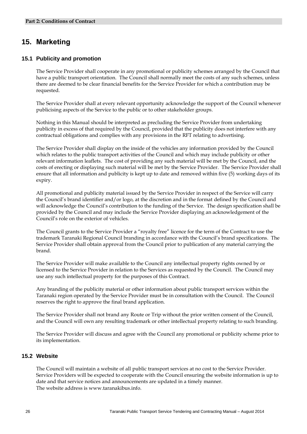## **15. Marketing**

#### **15.1 Publicity and promotion**

The Service Provider shall cooperate in any promotional or publicity schemes arranged by the Council that have a public transport orientation. The Council shall normally meet the costs of any such schemes, unless there are deemed to be clear financial benefits for the Service Provider for which a contribution may be requested.

The Service Provider shall at every relevant opportunity acknowledge the support of the Council whenever publicising aspects of the Service to the public or to other stakeholder groups.

Nothing in this Manual should be interpreted as precluding the Service Provider from undertaking publicity in excess of that required by the Council, provided that the publicity does not interfere with any contractual obligations and complies with any provisions in the RFT relating to advertising.

The Service Provider shall display on the inside of the vehicles any information provided by the Council which relates to the public transport activities of the Council and which may include publicity or other relevant information leaflets. The cost of providing any such material will be met by the Council, and the costs of erecting or displaying such material will be met by the Service Provider. The Service Provider shall ensure that all information and publicity is kept up to date and removed within five (5) working days of its expiry.

All promotional and publicity material issued by the Service Provider in respect of the Service will carry the Council's brand identifier and/or logo, at the discretion and in the format defined by the Council and will acknowledge the Council's contribution to the funding of the Service. The design specification shall be provided by the Council and may include the Service Provider displaying an acknowledgement of the Council's role on the exterior of vehicles.

The Council grants to the Service Provider a "royalty free" licence for the term of the Contract to use the trademark Taranaki Regional Council branding in accordance with the Council's brand specifications. The Service Provider shall obtain approval from the Council prior to publication of any material carrying the brand.

The Service Provider will make available to the Council any intellectual property rights owned by or licensed to the Service Provider in relation to the Services as requested by the Council. The Council may use any such intellectual property for the purposes of this Contract.

Any branding of the publicity material or other information about public transport services within the Taranaki region operated by the Service Provider must be in consultation with the Council. The Council reserves the right to approve the final brand application.

The Service Provider shall not brand any Route or Trip without the prior written consent of the Council, and the Council will own any resulting trademark or other intellectual property relating to such branding.

The Service Provider will discuss and agree with the Council any promotional or publicity scheme prior to its implementation.

#### **15.2 Website**

The Council will maintain a website of all public transport services at no cost to the Service Provider. Service Providers will be expected to cooperate with the Council ensuring the website information is up to date and that service notices and announcements are updated in a timely manner. The website address is www.taranakibus.info.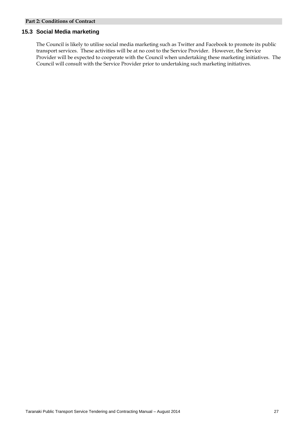#### **15.3 Social Media marketing**

The Council is likely to utilise social media marketing such as Twitter and Facebook to promote its public transport services. These activities will be at no cost to the Service Provider. However, the Service Provider will be expected to cooperate with the Council when undertaking these marketing initiatives. The Council will consult with the Service Provider prior to undertaking such marketing initiatives.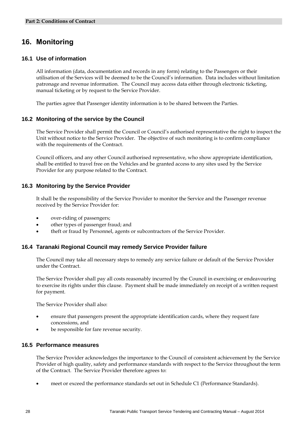## **16. Monitoring**

#### **16.1 Use of information**

All information (data, documentation and records in any form) relating to the Passengers or their utilisation of the Services will be deemed to be the Council's information. Data includes without limitation patronage and revenue information. The Council may access data either through electronic ticketing, manual ticketing or by request to the Service Provider.

The parties agree that Passenger identity information is to be shared between the Parties.

#### **16.2 Monitoring of the service by the Council**

The Service Provider shall permit the Council or Council's authorised representative the right to inspect the Unit without notice to the Service Provider. The objective of such monitoring is to confirm compliance with the requirements of the Contract.

Council officers, and any other Council authorised representative, who show appropriate identification, shall be entitled to travel free on the Vehicles and be granted access to any sites used by the Service Provider for any purpose related to the Contract.

#### **16.3 Monitoring by the Service Provider**

It shall be the responsibility of the Service Provider to monitor the Service and the Passenger revenue received by the Service Provider for:

- over-riding of passengers;
- other types of passenger fraud; and
- theft or fraud by Personnel, agents or subcontractors of the Service Provider.

#### **16.4 Taranaki Regional Council may remedy Service Provider failure**

The Council may take all necessary steps to remedy any service failure or default of the Service Provider under the Contract.

The Service Provider shall pay all costs reasonably incurred by the Council in exercising or endeavouring to exercise its rights under this clause. Payment shall be made immediately on receipt of a written request for payment.

The Service Provider shall also:

- ensure that passengers present the appropriate identification cards, where they request fare concessions, and
- be responsible for fare revenue security.

#### **16.5 Performance measures**

The Service Provider acknowledges the importance to the Council of consistent achievement by the Service Provider of high quality, safety and performance standards with respect to the Service throughout the term of the Contract. The Service Provider therefore agrees to:

meet or exceed the performance standards set out in Schedule C1 (Performance Standards).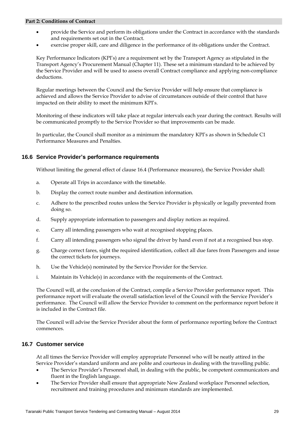- provide the Service and perform its obligations under the Contract in accordance with the standards and requirements set out in the Contract.
- exercise proper skill, care and diligence in the performance of its obligations under the Contract.

Key Performance Indicators (KPI's) are a requirement set by the Transport Agency as stipulated in the Transport Agency's Procurement Manual (Chapter 11). These set a minimum standard to be achieved by the Service Provider and will be used to assess overall Contract compliance and applying non-compliance deductions.

Regular meetings between the Council and the Service Provider will help ensure that compliance is achieved and allows the Service Provider to advise of circumstances outside of their control that have impacted on their ability to meet the minimum KPI's.

Monitoring of these indicators will take place at regular intervals each year during the contract. Results will be communicated promptly to the Service Provider so that improvements can be made.

In particular, the Council shall monitor as a minimum the mandatory KPI's as shown in Schedule C1 Performance Measures and Penalties.

#### **16.6 Service Provider's performance requirements**

Without limiting the general effect of clause 16.4 (Performance measures), the Service Provider shall:

- a. Operate all Trips in accordance with the timetable.
- b. Display the correct route number and destination information.
- c. Adhere to the prescribed routes unless the Service Provider is physically or legally prevented from doing so.
- d. Supply appropriate information to passengers and display notices as required.
- e. Carry all intending passengers who wait at recognised stopping places.
- f. Carry all intending passengers who signal the driver by hand even if not at a recognised bus stop.
- g. Charge correct fares, sight the required identification, collect all due fares from Passengers and issue the correct tickets for journeys.
- h. Use the Vehicle(s) nominated by the Service Provider for the Service.
- i. Maintain its Vehicle(s) in accordance with the requirements of the Contract.

The Council will, at the conclusion of the Contract, compile a Service Provider performance report. This performance report will evaluate the overall satisfaction level of the Council with the Service Provider's performance. The Council will allow the Service Provider to comment on the performance report before it is included in the Contract file.

The Council will advise the Service Provider about the form of performance reporting before the Contract commences.

#### **16.7 Customer service**

At all times the Service Provider will employ appropriate Personnel who will be neatly attired in the Service Provider's standard uniform and are polite and courteous in dealing with the travelling public.

- The Service Provider's Personnel shall, in dealing with the public, be competent communicators and fluent in the English language.
- The Service Provider shall ensure that appropriate New Zealand workplace Personnel selection, recruitment and training procedures and minimum standards are implemented.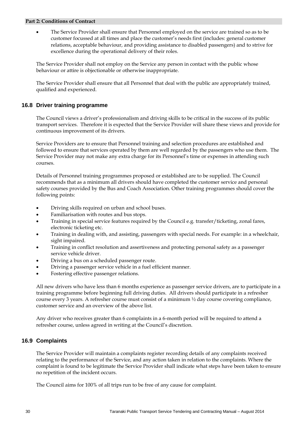The Service Provider shall ensure that Personnel employed on the service are trained so as to be customer focussed at all times and place the customer's needs first (includes: general customer relations, acceptable behaviour, and providing assistance to disabled passengers) and to strive for excellence during the operational delivery of their roles.

The Service Provider shall not employ on the Service any person in contact with the public whose behaviour or attire is objectionable or otherwise inappropriate.

The Service Provider shall ensure that all Personnel that deal with the public are appropriately trained, qualified and experienced.

#### **16.8 Driver training programme**

The Council views a driver's professionalism and driving skills to be critical in the success of its public transport services. Therefore it is expected that the Service Provider will share these views and provide for continuous improvement of its drivers.

Service Providers are to ensure that Personnel training and selection procedures are established and followed to ensure that services operated by them are well regarded by the passengers who use them. The Service Provider may not make any extra charge for its Personnel's time or expenses in attending such courses.

Details of Personnel training programmes proposed or established are to be supplied. The Council recommends that as a minimum all drivers should have completed the customer service and personal safety courses provided by the Bus and Coach Association. Other training programmes should cover the following points:

- Driving skills required on urban and school buses.
- Familiarisation with routes and bus stops.
- Training in special service features required by the Council e.g. transfer/ticketing, zonal fares, electronic ticketing etc.
- Training in dealing with, and assisting, passengers with special needs. For example: in a wheelchair, sight impaired.
- Training in conflict resolution and assertiveness and protecting personal safety as a passenger service vehicle driver.
- Driving a bus on a scheduled passenger route.
- Driving a passenger service vehicle in a fuel efficient manner.
- Fostering effective passenger relations.

All new drivers who have less than 6 months experience as passenger service drivers, are to participate in a training programme before beginning full driving duties. All drivers should participate in a refresher course every 3 years. A refresher course must consist of a minimum ½ day course covering compliance, customer service and an overview of the above list.

Any driver who receives greater than 6 complaints in a 6-month period will be required to attend a refresher course, unless agreed in writing at the Council's discretion.

#### **16.9 Complaints**

The Service Provider will maintain a complaints register recording details of any complaints received relating to the performance of the Service, and any action taken in relation to the complaints. Where the complaint is found to be legitimate the Service Provider shall indicate what steps have been taken to ensure no repetition of the incident occurs.

The Council aims for 100% of all trips run to be free of any cause for complaint.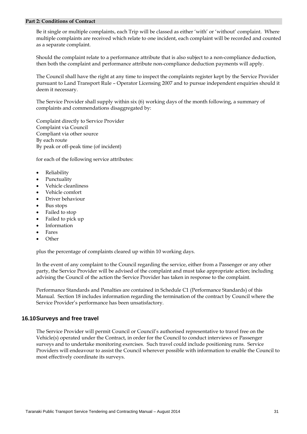Be it single or multiple complaints, each Trip will be classed as either 'with' or 'without' complaint. Where multiple complaints are received which relate to one incident, each complaint will be recorded and counted as a separate complaint.

Should the complaint relate to a performance attribute that is also subject to a non-compliance deduction, then both the complaint and performance attribute non-compliance deduction payments will apply.

The Council shall have the right at any time to inspect the complaints register kept by the Service Provider pursuant to Land Transport Rule – Operator Licensing 2007 and to pursue independent enquiries should it deem it necessary.

The Service Provider shall supply within six (6) working days of the month following, a summary of complaints and commendations disaggregated by:

Complaint directly to Service Provider Complaint via Council Compliant via other source By each route By peak or off-peak time (of incident)

for each of the following service attributes:

- Reliability
- Punctuality
- Vehicle cleanliness
- Vehicle comfort
- Driver behaviour
- Bus stops
- Failed to stop
- Failed to pick up
- Information
- Fares
- **Other**

plus the percentage of complaints cleared up within 10 working days.

In the event of any complaint to the Council regarding the service, either from a Passenger or any other party, the Service Provider will be advised of the complaint and must take appropriate action; including advising the Council of the action the Service Provider has taken in response to the complaint.

Performance Standards and Penalties are contained in Schedule C1 (Performance Standards) of this Manual. Section 18 includes information regarding the termination of the contract by Council where the Service Provider's performance has been unsatisfactory.

#### **16.10 Surveys and free travel**

The Service Provider will permit Council or Council's authorised representative to travel free on the Vehicle(s) operated under the Contract, in order for the Council to conduct interviews or Passenger surveys and to undertake monitoring exercises. Such travel could include positioning runs. Service Providers will endeavour to assist the Council wherever possible with information to enable the Council to most effectively coordinate its surveys.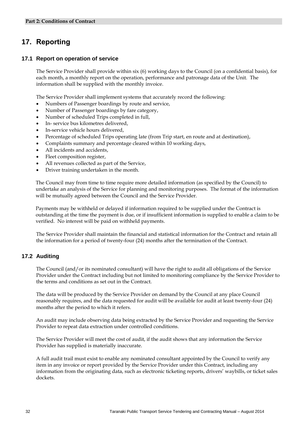## **17. Reporting**

#### **17.1 Report on operation of service**

The Service Provider shall provide within six (6) working days to the Council (on a confidential basis), for each month, a monthly report on the operation, performance and patronage data of the Unit. The information shall be supplied with the monthly invoice.

The Service Provider shall implement systems that accurately record the following:

- Numbers of Passenger boardings by route and service,
- Number of Passenger boardings by fare category,
- Number of scheduled Trips completed in full,
- In- service bus kilometres delivered,
- In-service vehicle hours delivered,
- Percentage of scheduled Trips operating late (from Trip start, en route and at destination),
- Complaints summary and percentage cleared within 10 working days,
- All incidents and accidents,
- Fleet composition register,
- All revenues collected as part of the Service,
- Driver training undertaken in the month.

The Council may from time to time require more detailed information (as specified by the Council) to undertake an analysis of the Service for planning and monitoring purposes. The format of the information will be mutually agreed between the Council and the Service Provider.

Payments may be withheld or delayed if information required to be supplied under the Contract is outstanding at the time the payment is due, or if insufficient information is supplied to enable a claim to be verified. No interest will be paid on withheld payments.

The Service Provider shall maintain the financial and statistical information for the Contract and retain all the information for a period of twenty-four (24) months after the termination of the Contract.

#### **17.2 Auditing**

The Council (and/or its nominated consultant) will have the right to audit all obligations of the Service Provider under the Contract including but not limited to monitoring compliance by the Service Provider to the terms and conditions as set out in the Contract.

The data will be produced by the Service Provider on demand by the Council at any place Council reasonably requires, and the data requested for audit will be available for audit at least twenty-four (24) months after the period to which it refers.

An audit may include observing data being extracted by the Service Provider and requesting the Service Provider to repeat data extraction under controlled conditions.

The Service Provider will meet the cost of audit, if the audit shows that any information the Service Provider has supplied is materially inaccurate.

A full audit trail must exist to enable any nominated consultant appointed by the Council to verify any item in any invoice or report provided by the Service Provider under this Contract, including any information from the originating data, such as electronic ticketing reports, drivers' waybills, or ticket sales dockets.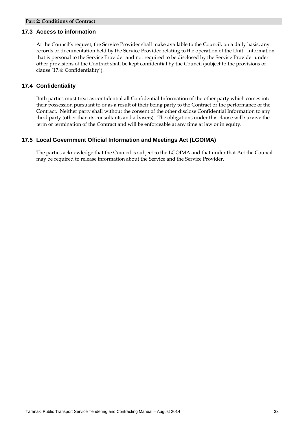#### **17.3 Access to information**

At the Council's request, the Service Provider shall make available to the Council, on a daily basis, any records or documentation held by the Service Provider relating to the operation of the Unit. Information that is personal to the Service Provider and not required to be disclosed by the Service Provider under other provisions of the Contract shall be kept confidential by the Council (subject to the provisions of clause '17.4: Confidentiality').

#### **17.4 Confidentiality**

Both parties must treat as confidential all Confidential Information of the other party which comes into their possession pursuant to or as a result of their being party to the Contract or the performance of the Contract. Neither party shall without the consent of the other disclose Confidential Information to any third party (other than its consultants and advisers). The obligations under this clause will survive the term or termination of the Contract and will be enforceable at any time at law or in equity.

#### **17.5 Local Government Official Information and Meetings Act (LGOIMA)**

The parties acknowledge that the Council is subject to the LGOIMA and that under that Act the Council may be required to release information about the Service and the Service Provider.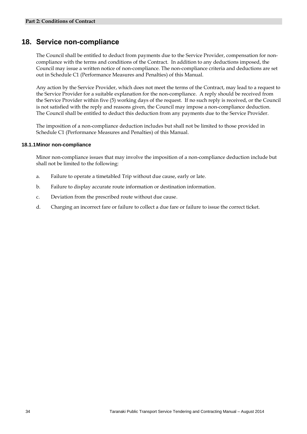## **18. Service non-compliance**

The Council shall be entitled to deduct from payments due to the Service Provider, compensation for noncompliance with the terms and conditions of the Contract. In addition to any deductions imposed, the Council may issue a written notice of non-compliance. The non-compliance criteria and deductions are set out in Schedule C1 (Performance Measures and Penalties) of this Manual.

Any action by the Service Provider, which does not meet the terms of the Contract, may lead to a request to the Service Provider for a suitable explanation for the non-compliance. A reply should be received from the Service Provider within five (5) working days of the request. If no such reply is received, or the Council is not satisfied with the reply and reasons given, the Council may impose a non-compliance deduction. The Council shall be entitled to deduct this deduction from any payments due to the Service Provider.

The imposition of a non-compliance deduction includes but shall not be limited to those provided in Schedule C1 (Performance Measures and Penalties) of this Manual.

#### **18.1.1 Minor non-compliance**

Minor non-compliance issues that may involve the imposition of a non-compliance deduction include but shall not be limited to the following:

- a. Failure to operate a timetabled Trip without due cause, early or late.
- b. Failure to display accurate route information or destination information.
- c. Deviation from the prescribed route without due cause.
- d. Charging an incorrect fare or failure to collect a due fare or failure to issue the correct ticket.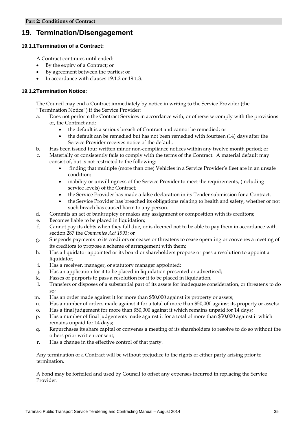## **19. Termination/Disengagement**

#### **19.1.1 Termination of a Contract:**

A Contract continues until ended:

- By the expiry of a Contract; or
- By agreement between the parties; or
- In accordance with clauses 19.1.2 or 19.1.3.

#### **19.1.2 Termination Notice:**

The Council may end a Contract immediately by notice in writing to the Service Provider (the "Termination Notice") if the Service Provider:

- a. Does not perform the Contract Services in accordance with, or otherwise comply with the provisions of, the Contract and:
	- the default is a serious breach of Contract and cannot be remedied; or
	- the default can be remedied but has not been remedied with fourteen (14) days after the Service Provider receives notice of the default.
- b. Has been issued four written minor non-compliance notices within any twelve month period; or
- c. Materially or consistently fails to comply with the terms of the Contract. A material default may consist of, but is not restricted to the following:
	- finding that multiple (more than one) Vehicles in a Service Provider's fleet are in an unsafe condition;
	- inability or unwillingness of the Service Provider to meet the requirements, (including service levels) of the Contract;
	- the Service Provider has made a false declaration in its Tender submission for a Contract.
	- the Service Provider has breached its obligations relating to health and safety, whether or not such breach has caused harm to any person.
- d. Commits an act of bankruptcy or makes any assignment or composition with its creditors;
- e. Becomes liable to be placed in liquidation;
- f. Cannot pay its debts when they fall due, or is deemed not to be able to pay them in accordance with section 287 the *Companies Act 1993*; or
- g. Suspends payments to its creditors or ceases or threatens to cease operating or convenes a meeting of its creditors to propose a scheme of arrangement with them;
- h. Has a liquidator appointed or its board or shareholders propose or pass a resolution to appoint a liquidator;
- i. Has a receiver, manager, or statutory manager appointed;
- j. Has an application for it to be placed in liquidation presented or advertised;
- k. Passes or purports to pass a resolution for it to be placed in liquidation;
- l. Transfers or disposes of a substantial part of its assets for inadequate consideration, or threatens to do so;
- m. Has an order made against it for more than \$50,000 against its property or assets;
- n. Has a number of orders made against it for a total of more than \$50,000 against its property or assets;
- o. Has a final judgement for more than \$50,000 against it which remains unpaid for 14 days;
- p. Has a number of final judgements made against it for a total of more than \$50,000 against it which remains unpaid for 14 days;
- q. Repurchases its share capital or convenes a meeting of its shareholders to resolve to do so without the others prior written consent;
- r. Has a change in the effective control of that party.

Any termination of a Contract will be without prejudice to the rights of either party arising prior to termination.

A bond may be forfeited and used by Council to offset any expenses incurred in replacing the Service Provider.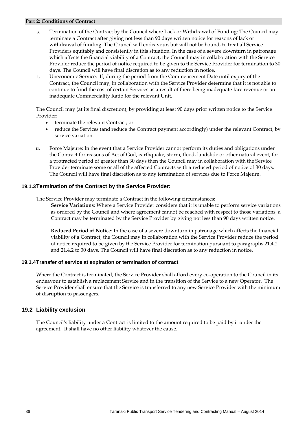- s. Termination of the Contract by the Council where Lack or Withdrawal of Funding: The Council may terminate a Contract after giving not less than 90 days written notice for reasons of lack or withdrawal of funding. The Council will endeavour, but will not be bound, to treat all Service Providers equitably and consistently in this situation. In the case of a severe downturn in patronage which affects the financial viability of a Contract, the Council may in collaboration with the Service Provider reduce the period of notice required to be given to the Service Provider for termination to 30 days. The Council will have final discretion as to any reduction in notice.
- t. Uneconomic Service: If, during the period from the Commencement Date until expiry of the Contract, the Council may, in collaboration with the Service Provider determine that it is not able to continue to fund the cost of certain Services as a result of there being inadequate fare revenue or an inadequate Commerciality Ratio for the relevant Unit.

The Council may (at its final discretion), by providing at least 90 days prior written notice to the Service Provider:

- terminate the relevant Contract; or
- reduce the Services (and reduce the Contract payment accordingly) under the relevant Contract, by service variation.
- u. Force Majeure: In the event that a Service Provider cannot perform its duties and obligations under the Contract for reasons of Act of God, earthquake, storm, flood, landslide or other natural event, for a protracted period of greater than 30 days then the Council may in collaboration with the Service Provider terminate some or all of the affected Contracts with a reduced period of notice of 30 days. The Council will have final discretion as to any termination of services due to Force Majeure.

#### **19.1.3 Termination of the Contract by the Service Provider:**

The Service Provider may terminate a Contract in the following circumstances:

**Service Variations**: Where a Service Provider considers that it is unable to perform service variations as ordered by the Council and where agreement cannot be reached with respect to those variations, a Contract may be terminated by the Service Provider by giving not less than 90 days written notice.

**Reduced Period of Notice**: In the case of a severe downturn in patronage which affects the financial viability of a Contract, the Council may in collaboration with the Service Provider reduce the period of notice required to be given by the Service Provider for termination pursuant to paragraphs 21.4.1 and 21.4.2 to 30 days. The Council will have final discretion as to any reduction in notice.

#### **19.1.4 Transfer of service at expiration or termination of contract**

Where the Contract is terminated, the Service Provider shall afford every co-operation to the Council in its endeavour to establish a replacement Service and in the transition of the Service to a new Operator. The Service Provider shall ensure that the Service is transferred to any new Service Provider with the minimum of disruption to passengers.

#### **19.2 Liability exclusion**

The Council's liability under a Contract is limited to the amount required to be paid by it under the agreement. It shall have no other liability whatever the cause.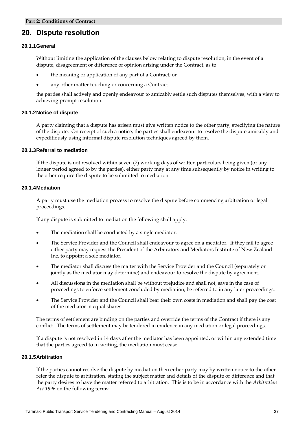## **20. Dispute resolution**

#### **20.1.1 General**

Without limiting the application of the clauses below relating to dispute resolution, in the event of a dispute, disagreement or difference of opinion arising under the Contract, as to:

- the meaning or application of any part of a Contract; or
- any other matter touching or concerning a Contract

the parties shall actively and openly endeavour to amicably settle such disputes themselves, with a view to achieving prompt resolution.

#### **20.1.2 Notice of dispute**

A party claiming that a dispute has arisen must give written notice to the other party, specifying the nature of the dispute. On receipt of such a notice, the parties shall endeavour to resolve the dispute amicably and expeditiously using informal dispute resolution techniques agreed by them.

#### **20.1.3 Referral to mediation**

If the dispute is not resolved within seven (7) working days of written particulars being given (or any longer period agreed to by the parties), either party may at any time subsequently by notice in writing to the other require the dispute to be submitted to mediation.

#### **20.1.4 Mediation**

A party must use the mediation process to resolve the dispute before commencing arbitration or legal proceedings.

If any dispute is submitted to mediation the following shall apply:

- The mediation shall be conducted by a single mediator.
- The Service Provider and the Council shall endeavour to agree on a mediator. If they fail to agree either party may request the President of the Arbitrators and Mediators Institute of New Zealand Inc. to appoint a sole mediator.
- The mediator shall discuss the matter with the Service Provider and the Council (separately or jointly as the mediator may determine) and endeavour to resolve the dispute by agreement.
- All discussions in the mediation shall be without prejudice and shall not, save in the case of proceedings to enforce settlement concluded by mediation, be referred to in any later proceedings.
- The Service Provider and the Council shall bear their own costs in mediation and shall pay the cost of the mediator in equal shares.

The terms of settlement are binding on the parties and override the terms of the Contract if there is any conflict. The terms of settlement may be tendered in evidence in any mediation or legal proceedings.

If a dispute is not resolved in 14 days after the mediator has been appointed, or within any extended time that the parties agreed to in writing, the mediation must cease.

#### **20.1.5 Arbitration**

If the parties cannot resolve the dispute by mediation then either party may by written notice to the other refer the dispute to arbitration, stating the subject matter and details of the dispute or difference and that the party desires to have the matter referred to arbitration. This is to be in accordance with the *Arbitration Act 1996* on the following terms: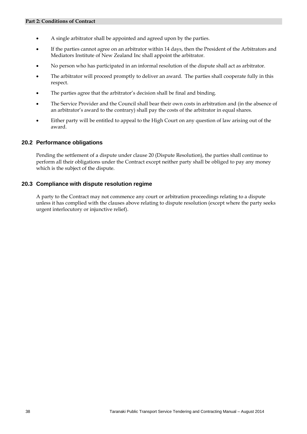- A single arbitrator shall be appointed and agreed upon by the parties.
- If the parties cannot agree on an arbitrator within 14 days, then the President of the Arbitrators and Mediators Institute of New Zealand Inc shall appoint the arbitrator.
- No person who has participated in an informal resolution of the dispute shall act as arbitrator.
- The arbitrator will proceed promptly to deliver an award. The parties shall cooperate fully in this respect.
- The parties agree that the arbitrator's decision shall be final and binding.
- The Service Provider and the Council shall bear their own costs in arbitration and (in the absence of an arbitrator's award to the contrary) shall pay the costs of the arbitrator in equal shares.
- Either party will be entitled to appeal to the High Court on any question of law arising out of the award.

#### **20.2 Performance obligations**

Pending the settlement of a dispute under clause 20 (Dispute Resolution), the parties shall continue to perform all their obligations under the Contract except neither party shall be obliged to pay any money which is the subject of the dispute.

#### **20.3 Compliance with dispute resolution regime**

A party to the Contract may not commence any court or arbitration proceedings relating to a dispute unless it has complied with the clauses above relating to dispute resolution (except where the party seeks urgent interlocutory or injunctive relief).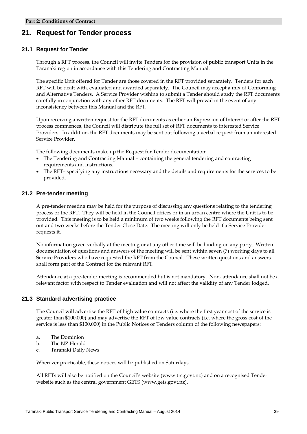## **21. Request for Tender process**

#### **21.1 Request for Tender**

Through a RFT process, the Council will invite Tenders for the provision of public transport Units in the Taranaki region in accordance with this Tendering and Contracting Manual.

The specific Unit offered for Tender are those covered in the RFT provided separately. Tenders for each RFT will be dealt with, evaluated and awarded separately. The Council may accept a mix of Conforming and Alternative Tenders. A Service Provider wishing to submit a Tender should study the RFT documents carefully in conjunction with any other RFT documents. The RFT will prevail in the event of any inconsistency between this Manual and the RFT.

Upon receiving a written request for the RFT documents as either an Expression of Interest or after the RFT process commences, the Council will distribute the full set of RFT documents to interested Service Providers. In addition, the RFT documents may be sent out following a verbal request from an interested Service Provider.

The following documents make up the Request for Tender documentation:

- The Tendering and Contracting Manual containing the general tendering and contracting requirements and instructions.
- The RFT– specifying any instructions necessary and the details and requirements for the services to be provided.

#### **21.2 Pre-tender meeting**

A pre-tender meeting may be held for the purpose of discussing any questions relating to the tendering process or the RFT. They will be held in the Council offices or in an urban centre where the Unit is to be provided. This meeting is to be held a minimum of two weeks following the RFT documents being sent out and two weeks before the Tender Close Date. The meeting will only be held if a Service Provider requests it.

No information given verbally at the meeting or at any other time will be binding on any party. Written documentation of questions and answers of the meeting will be sent within seven (7) working days to all Service Providers who have requested the RFT from the Council. These written questions and answers shall form part of the Contract for the relevant RFT.

Attendance at a pre-tender meeting is recommended but is not mandatory. Non- attendance shall not be a relevant factor with respect to Tender evaluation and will not affect the validity of any Tender lodged.

#### **21.3 Standard advertising practice**

The Council will advertise the RFT of high value contracts (i.e. where the first year cost of the service is greater than \$100,000) and may advertise the RFT of low value contracts (i.e. where the gross cost of the service is less than \$100,000) in the Public Notices or Tenders column of the following newspapers:

- a. The Dominion
- b. The NZ Herald
- c. Taranaki Daily News

Wherever practicable, these notices will be published on Saturdays.

All RFTs will also be notified on the Council's website [\(www.trc.govt.nz\)](http://www.trc.govt.nz/) and on a recognised Tender website such as the central government GETS (www.gets.govt.nz).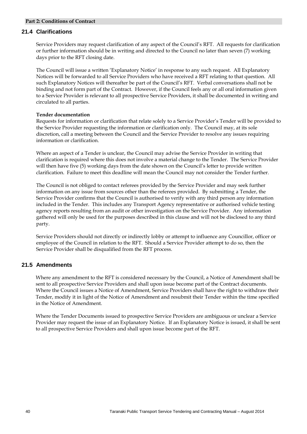#### **21.4 Clarifications**

Service Providers may request clarification of any aspect of the Council's RFT. All requests for clarification or further information should be in writing and directed to the Council no later than seven (7) working days prior to the RFT closing date.

The Council will issue a written 'Explanatory Notice' in response to any such request. All Explanatory Notices will be forwarded to all Service Providers who have received a RFT relating to that question. All such Explanatory Notices will thereafter be part of the Council's RFT. Verbal conversations shall not be binding and not form part of the Contract. However, if the Council feels any or all oral information given to a Service Provider is relevant to all prospective Service Providers, it shall be documented in writing and circulated to all parties.

#### **Tender documentation**

Requests for information or clarification that relate solely to a Service Provider's Tender will be provided to the Service Provider requesting the information or clarification only. The Council may, at its sole discretion, call a meeting between the Council and the Service Provider to resolve any issues requiring information or clarification.

Where an aspect of a Tender is unclear, the Council may advise the Service Provider in writing that clarification is required where this does not involve a material change to the Tender. The Service Provider will then have five (5) working days from the date shown on the Council's letter to provide written clarification. Failure to meet this deadline will mean the Council may not consider the Tender further.

The Council is not obliged to contact referees provided by the Service Provider and may seek further information on any issue from sources other than the referees provided. By submitting a Tender, the Service Provider confirms that the Council is authorised to verify with any third person any information included in the Tender. This includes any Transport Agency representative or authorised vehicle testing agency reports resulting from an audit or other investigation on the Service Provider. Any information gathered will only be used for the purposes described in this clause and will not be disclosed to any third party.

Service Providers should not directly or indirectly lobby or attempt to influence any Councillor, officer or employee of the Council in relation to the RFT. Should a Service Provider attempt to do so, then the Service Provider shall be disqualified from the RFT process.

#### **21.5 Amendments**

Where any amendment to the RFT is considered necessary by the Council, a Notice of Amendment shall be sent to all prospective Service Providers and shall upon issue become part of the Contract documents. Where the Council issues a Notice of Amendment, Service Providers shall have the right to withdraw their Tender, modify it in light of the Notice of Amendment and resubmit their Tender within the time specified in the Notice of Amendment.

Where the Tender Documents issued to prospective Service Providers are ambiguous or unclear a Service Provider may request the issue of an Explanatory Notice. If an Explanatory Notice is issued, it shall be sent to all prospective Service Providers and shall upon issue become part of the RFT.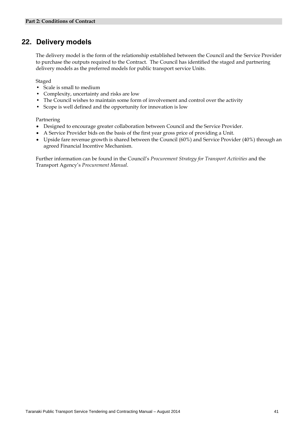## **22. Delivery models**

The delivery model is the form of the relationship established between the Council and the Service Provider to purchase the outputs required to the Contract. The Council has identified the staged and partnering delivery models as the preferred models for public transport service Units.

Staged

- Scale is small to medium
- Complexity, uncertainty and risks are low
- The Council wishes to maintain some form of involvement and control over the activity
- Scope is well defined and the opportunity for innovation is low

Partnering

- Designed to encourage greater collaboration between Council and the Service Provider.
- A Service Provider bids on the basis of the first year gross price of providing a Unit.
- Upside fare revenue growth is shared between the Council (60%) and Service Provider (40%) through an agreed Financial Incentive Mechanism.

Further information can be found in the Council's *Procurement Strategy for Transport Activities* and the Transport Agency's *Procurement Manual*.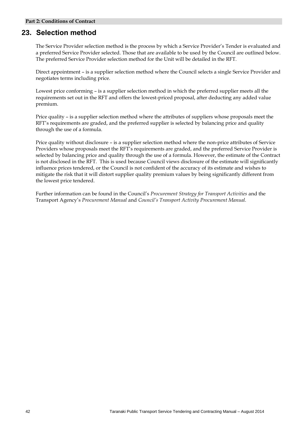## **23. Selection method**

The Service Provider selection method is the process by which a Service Provider's Tender is evaluated and a preferred Service Provider selected. Those that are available to be used by the Council are outlined below. The preferred Service Provider selection method for the Unit will be detailed in the RFT.

Direct appointment – is a supplier selection method where the Council selects a single Service Provider and negotiates terms including price.

Lowest price conforming – is a supplier selection method in which the preferred supplier meets all the requirements set out in the RFT and offers the lowest-priced proposal, after deducting any added value premium.

Price quality – is a supplier selection method where the attributes of suppliers whose proposals meet the RFT's requirements are graded, and the preferred supplier is selected by balancing price and quality through the use of a formula.

Price quality without disclosure – is a supplier selection method where the non-price attributes of Service Providers whose proposals meet the RFT's requirements are graded, and the preferred Service Provider is selected by balancing price and quality through the use of a formula. However, the estimate of the Contract is not disclosed in the RFT. This is used because Council views disclosure of the estimate will significantly influence prices tendered, or the Council is not confident of the accuracy of its estimate and wishes to mitigate the risk that it will distort supplier quality premium values by being significantly different from the lowest price tendered.

Further information can be found in the Council's *Procurement Strategy for Transport Activities* and the Transport Agency's *Procurement Manual* and *Council's Transport Activity Procurement Manual.*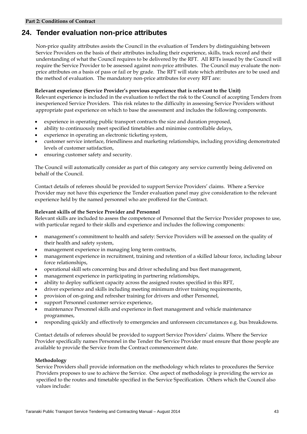## **24. Tender evaluation non-price attributes**

Non-price quality attributes assists the Council in the evaluation of Tenders by distinguishing between Service Providers on the basis of their attributes including their experience, skills, track record and their understanding of what the Council requires to be delivered by the RFT. All RFTs issued by the Council will require the Service Provider to be assessed against non-price attributes. The Council may evaluate the nonprice attributes on a basis of pass or fail or by grade. The RFT will state which attributes are to be used and the method of evaluation. The mandatory non-price attributes for every RFT are:

#### **Relevant experience (Service Provider's previous experience that is relevant to the Unit)**

Relevant experience is included in the evaluation to reflect the risk to the Council of accepting Tenders from inexperienced Service Providers. This risk relates to the difficulty in assessing Service Providers without appropriate past experience on which to base the assessment and includes the following components.

- experience in operating public transport contracts the size and duration proposed,
- ability to continuously meet specified timetables and minimise controllable delays,
- experience in operating an electronic ticketing system,
- customer service interface, friendliness and marketing relationships, including providing demonstrated levels of customer satisfaction,
- ensuring customer safety and security.

The Council will automatically consider as part of this category any service currently being delivered on behalf of the Council.

Contact details of referees should be provided to support Service Providers' claims. Where a Service Provider may not have this experience the Tender evaluation panel may give consideration to the relevant experience held by the named personnel who are proffered for the Contract.

#### **Relevant skills of the Service Provider and Personnel**

Relevant skills are included to assess the competence of Personnel that the Service Provider proposes to use, with particular regard to their skills and experience and includes the following components:

- management's commitment to health and safety: Service Providers will be assessed on the quality of their health and safety system,
- management experience in managing long term contracts,
- management experience in recruitment, training and retention of a skilled labour force, including labour force relationships,
- operational skill sets concerning bus and driver scheduling and bus fleet management,
- management experience in participating in partnering relationships,
- ability to deploy sufficient capacity across the assigned routes specified in this RFT,
- driver experience and skills including meeting minimum driver training requirements,
- provision of on-going and refresher training for drivers and other Personnel,
- support Personnel customer service experience,
- maintenance Personnel skills and experience in fleet management and vehicle maintenance programmes,
- responding quickly and effectively to emergencies and unforeseen circumstances e.g. bus breakdowns.

Contact details of referees should be provided to support Service Providers' claims. Where the Service Provider specifically names Personnel in the Tender the Service Provider must ensure that those people are available to provide the Service from the Contract commencement date.

#### **Methodology**

Service Providers shall provide information on the methodology which relates to procedures the Service Providers proposes to use to achieve the Service. One aspect of methodology is providing the service as specified to the routes and timetable specified in the Service Specification. Others which the Council also values include: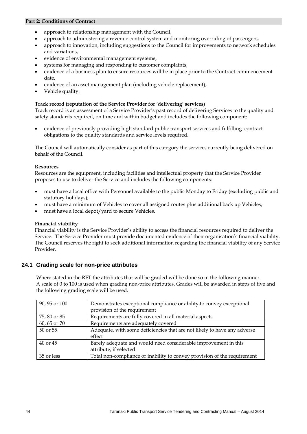- approach to relationship management with the Council,
- approach to administering a revenue control system and monitoring overriding of passengers,
- approach to innovation, including suggestions to the Council for improvements to network schedules and variations,
- evidence of environmental management systems,
- systems for managing and responding to customer complaints,
- evidence of a business plan to ensure resources will be in place prior to the Contract commencement date,
- evidence of an asset management plan (including vehicle replacement),
- Vehicle quality.

#### **Track record (reputation of the Service Provider for 'delivering' services)**

Track record is an assessment of a Service Provider's past record of delivering Services to the quality and safety standards required, on time and within budget and includes the following component:

 evidence of previously providing high standard public transport services and fulfilling contract obligations to the quality standards and service levels required.

The Council will automatically consider as part of this category the services currently being delivered on behalf of the Council.

#### **Resources**

Resources are the equipment, including facilities and intellectual property that the Service Provider proposes to use to deliver the Service and includes the following components:

- must have a local office with Personnel available to the public Monday to Friday (excluding public and statutory holidays),
- must have a minimum of Vehicles to cover all assigned routes plus additional back up Vehicles,
- must have a local depot/yard to secure Vehicles.

#### **Financial viability**

Financial viability is the Service Provider's ability to access the financial resources required to deliver the Service. The Service Provider must provide documented evidence of their organisation's financial viability. The Council reserves the right to seek additional information regarding the financial viability of any Service Provider.

#### **24.1 Grading scale for non-price attributes**

Where stated in the RFT the attributes that will be graded will be done so in the following manner. A scale of 0 to 100 is used when grading non-price attributes. Grades will be awarded in steps of five and the following grading scale will be used.

| 90, 95 or 100 | Demonstrates exceptional compliance or ability to convey exceptional     |  |
|---------------|--------------------------------------------------------------------------|--|
|               | provision of the requirement                                             |  |
| 75, 80 or 85  | Requirements are fully covered in all material aspects                   |  |
| 60, 65 or 70  | Requirements are adequately covered                                      |  |
| 50 or 55      | Adequate, with some deficiencies that are not likely to have any adverse |  |
|               | effect                                                                   |  |
| $40$ or $45$  | Barely adequate and would need considerable improvement in this          |  |
|               | attribute, if selected                                                   |  |
| 35 or less    | Total non-compliance or inability to convey provision of the requirement |  |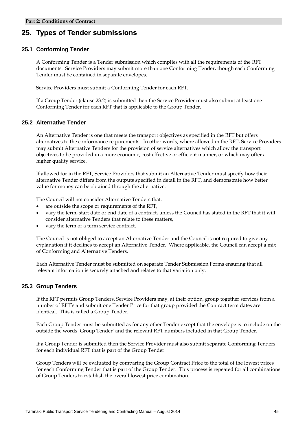## **25. Types of Tender submissions**

#### **25.1 Conforming Tender**

A Conforming Tender is a Tender submission which complies with all the requirements of the RFT documents. Service Providers may submit more than one Conforming Tender, though each Conforming Tender must be contained in separate envelopes.

Service Providers must submit a Conforming Tender for each RFT.

If a Group Tender (clause 23.2) is submitted then the Service Provider must also submit at least one Conforming Tender for each RFT that is applicable to the Group Tender.

#### **25.2 Alternative Tender**

An Alternative Tender is one that meets the transport objectives as specified in the RFT but offers alternatives to the conformance requirements. In other words, where allowed in the RFT, Service Providers may submit Alternative Tenders for the provision of service alternatives which allow the transport objectives to be provided in a more economic, cost effective or efficient manner, or which may offer a higher quality service.

If allowed for in the RFT, Service Providers that submit an Alternative Tender must specify how their alternative Tender differs from the outputs specified in detail in the RFT, and demonstrate how better value for money can be obtained through the alternative.

The Council will not consider Alternative Tenders that:

- are outside the scope or requirements of the RFT,
- vary the term, start date or end date of a contract, unless the Council has stated in the RFT that it will consider alternative Tenders that relate to these matters,
- vary the term of a term service contract.

The Council is not obliged to accept an Alternative Tender and the Council is not required to give any explanation if it declines to accept an Alternative Tender. Where applicable, the Council can accept a mix of Conforming and Alternative Tenders.

Each Alternative Tender must be submitted on separate Tender Submission Forms ensuring that all relevant information is securely attached and relates to that variation only.

#### **25.3 Group Tenders**

If the RFT permits Group Tenders, Service Providers may, at their option, group together services from a number of RFT's and submit one Tender Price for that group provided the Contract term dates are identical. This is called a Group Tender.

Each Group Tender must be submitted as for any other Tender except that the envelope is to include on the outside the words 'Group Tender' and the relevant RFT numbers included in that Group Tender.

If a Group Tender is submitted then the Service Provider must also submit separate Conforming Tenders for each individual RFT that is part of the Group Tender.

Group Tenders will be evaluated by comparing the Group Contract Price to the total of the lowest prices for each Conforming Tender that is part of the Group Tender. This process is repeated for all combinations of Group Tenders to establish the overall lowest price combination.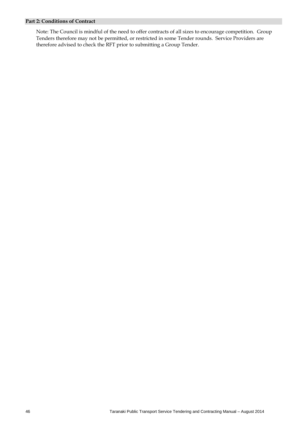Note: The Council is mindful of the need to offer contracts of all sizes to encourage competition. Group Tenders therefore may not be permitted, or restricted in some Tender rounds. Service Providers are therefore advised to check the RFT prior to submitting a Group Tender.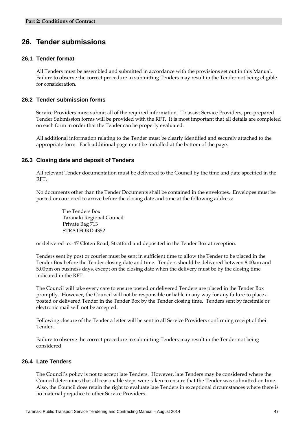## **26. Tender submissions**

#### **26.1 Tender format**

All Tenders must be assembled and submitted in accordance with the provisions set out in this Manual. Failure to observe the correct procedure in submitting Tenders may result in the Tender not being eligible for consideration.

#### **26.2 Tender submission forms**

Service Providers must submit all of the required information. To assist Service Providers, pre-prepared Tender Submission forms will be provided with the RFT. It is most important that all details are completed on each form in order that the Tender can be properly evaluated.

All additional information relating to the Tender must be clearly identified and securely attached to the appropriate form. Each additional page must be initialled at the bottom of the page.

#### **26.3 Closing date and deposit of Tenders**

All relevant Tender documentation must be delivered to the Council by the time and date specified in the RFT.

No documents other than the Tender Documents shall be contained in the envelopes. Envelopes must be posted or couriered to arrive before the closing date and time at the following address:

> The Tenders Box Taranaki Regional Council Private Bag 713 STRATFORD 4352

or delivered to: 47 Cloten Road, Stratford and deposited in the Tender Box at reception.

Tenders sent by post or courier must be sent in sufficient time to allow the Tender to be placed in the Tender Box before the Tender closing date and time. Tenders should be delivered between 8.00am and 5.00pm on business days, except on the closing date when the delivery must be by the closing time indicated in the RFT.

The Council will take every care to ensure posted or delivered Tenders are placed in the Tender Box promptly. However, the Council will not be responsible or liable in any way for any failure to place a posted or delivered Tender in the Tender Box by the Tender closing time. Tenders sent by facsimile or electronic mail will not be accepted.

Following closure of the Tender a letter will be sent to all Service Providers confirming receipt of their Tender.

Failure to observe the correct procedure in submitting Tenders may result in the Tender not being considered.

#### **26.4 Late Tenders**

The Council's policy is not to accept late Tenders. However, late Tenders may be considered where the Council determines that all reasonable steps were taken to ensure that the Tender was submitted on time. Also, the Council does retain the right to evaluate late Tenders in exceptional circumstances where there is no material prejudice to other Service Providers.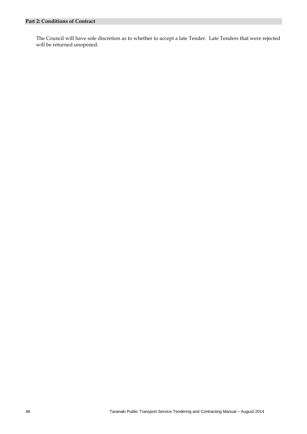The Council will have sole discretion as to whether to accept a late Tender. Late Tenders that were rejected will be returned unopened.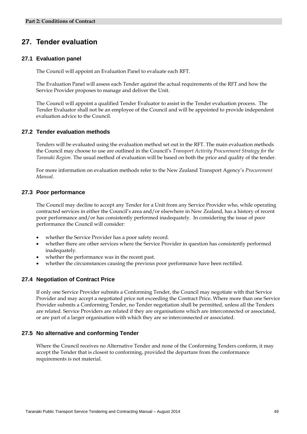## **27. Tender evaluation**

#### **27.1 Evaluation panel**

The Council will appoint an Evaluation Panel to evaluate each RFT.

The Evaluation Panel will assess each Tender against the actual requirements of the RFT and how the Service Provider proposes to manage and deliver the Unit.

The Council will appoint a qualified Tender Evaluator to assist in the Tender evaluation process. The Tender Evaluator shall not be an employee of the Council and will be appointed to provide independent evaluation advice to the Council.

#### **27.2 Tender evaluation methods**

Tenders will be evaluated using the evaluation method set out in the RFT. The main evaluation methods the Council may choose to use are outlined in the Council's *Transport Activity Procurement Strategy for the Taranaki Region.* The usual method of evaluation will be based on both the price and quality of the tender.

For more information on evaluation methods refer to the New Zealand Transport Agency's *Procurement Manual*.

#### **27.3 Poor performance**

The Council may decline to accept any Tender for a Unit from any Service Provider who, while operating contracted services in either the Council's area and/or elsewhere in New Zealand, has a history of recent poor performance and/or has consistently performed inadequately. In considering the issue of poor performance the Council will consider:

- whether the Service Provider has a poor safety record.
- whether there are other services where the Service Provider in question has consistently performed inadequately.
- whether the performance was in the recent past.
- whether the circumstances causing the previous poor performance have been rectified.

#### **27.4 Negotiation of Contract Price**

If only one Service Provider submits a Conforming Tender, the Council may negotiate with that Service Provider and may accept a negotiated price not exceeding the Contract Price. Where more than one Service Provider submits a Conforming Tender, no Tender negotiation shall be permitted, unless all the Tenders are related. Service Providers are related if they are organisations which are interconnected or associated, or are part of a larger organisation with which they are so interconnected or associated.

#### **27.5 No alternative and conforming Tender**

Where the Council receives no Alternative Tender and none of the Conforming Tenders conform, it may accept the Tender that is closest to conforming, provided the departure from the conformance requirements is not material.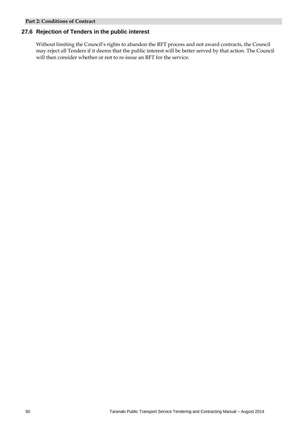### **27.6 Rejection of Tenders in the public interest**

Without limiting the Council's rights to abandon the RFT process and not award contracts, the Council may reject all Tenders if it deems that the public interest will be better served by that action. The Council will then consider whether or not to re-issue an RFT for the service.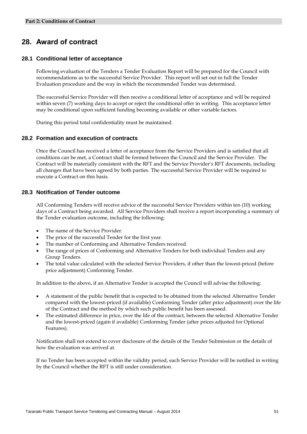## **28. Award of contract**

#### **28.1 Conditional letter of acceptance**

Following evaluation of the Tenders a Tender Evaluation Report will be prepared for the Council with recommendations as to the successful Service Provider. This report will set out in full the Tender Evaluation procedure and the way in which the recommended Tender was determined.

The successful Service Provider will then receive a conditional letter of acceptance and will be required within seven (7) working days to accept or reject the conditional offer in writing. This acceptance letter may be conditional upon sufficient funding becoming available or other variable factors.

During this period total confidentiality must be maintained.

#### **28.2 Formation and execution of contracts**

Once the Council has received a letter of acceptance from the Service Providers and is satisfied that all conditions can be met, a Contract shall be formed between the Council and the Service Provider. The Contract will be materially consistent with the RFT and the Service Provider's RFT documents, including all changes that have been agreed by both parties. The successful Service Provider will be required to execute a Contract on this basis.

#### **28.3 Notification of Tender outcome**

All Conforming Tenders will receive advice of the successful Service Providers within ten (10) working days of a Contract being awarded. All Service Providers shall receive a report incorporating a summary of the Tender evaluation outcome, including the following:

- The name of the Service Provider.
- The price of the successful Tender for the first year.
- The number of Conforming and Alternative Tenders received.
- The range of prices of Conforming and Alternative Tenders for both individual Tenders and any Group Tenders.
- The total value calculated with the selected Service Providers, if other than the lowest-priced (before price adjustment) Conforming Tender.

In addition to the above, if an Alternative Tender is accepted the Council will advise the following:

- A statement of the public benefit that is expected to be obtained from the selected Alternative Tender compared with the lowest-priced (if available) Conforming Tender (after price adjustment) over the life of the Contract and the method by which such public benefit has been assessed.
- The estimated difference in price, over the life of the contract, between the selected Alternative Tender and the lowest-priced (again if available) Conforming Tender (after prices adjusted for Optional Features).

Notification shall not extend to cover disclosure of the details of the Tender Submission or the details of how the evaluation was arrived at.

If no Tender has been accepted within the validity period, each Service Provider will be notified in writing by the Council whether the RFT is still under consideration.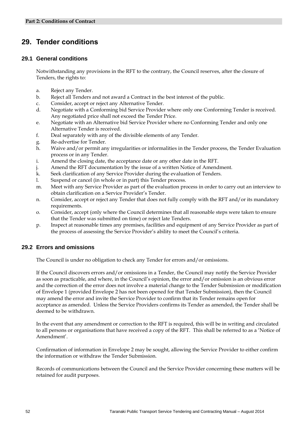## **29. Tender conditions**

#### **29.1 General conditions**

Notwithstanding any provisions in the RFT to the contrary, the Council reserves, after the closure of Tenders, the rights to:

- a. Reject any Tender.
- b. Reject all Tenders and not award a Contract in the best interest of the public.
- c. Consider, accept or reject any Alternative Tender.
- d. Negotiate with a Conforming bid Service Provider where only one Conforming Tender is received. Any negotiated price shall not exceed the Tender Price.
- e. Negotiate with an Alternative bid Service Provider where no Conforming Tender and only one Alternative Tender is received.
- f. Deal separately with any of the divisible elements of any Tender.
- g. Re-advertise for Tender.
- h. Waive and/or permit any irregularities or informalities in the Tender process, the Tender Evaluation process or in any Tender.
- i. Amend the closing date, the acceptance date or any other date in the RFT.
- Amend the RFT documentation by the issue of a written Notice of Amendment.
- k. Seek clarification of any Service Provider during the evaluation of Tenders.
- l. Suspend or cancel (in whole or in part) this Tender process.
- m. Meet with any Service Provider as part of the evaluation process in order to carry out an interview to obtain clarification on a Service Provider's Tender.
- n. Consider, accept or reject any Tender that does not fully comply with the RFT and/or its mandatory requirements.
- o. Consider, accept (only where the Council determines that all reasonable steps were taken to ensure that the Tender was submitted on time) or reject late Tenders.
- p. Inspect at reasonable times any premises, facilities and equipment of any Service Provider as part of the process of assessing the Service Provider's ability to meet the Council's criteria.

#### **29.2 Errors and omissions**

The Council is under no obligation to check any Tender for errors and/or omissions.

If the Council discovers errors and/or omissions in a Tender, the Council may notify the Service Provider as soon as practicable, and where, in the Council's opinion, the error and/or omission is an obvious error and the correction of the error does not involve a material change to the Tender Submission or modification of Envelope 1 (provided Envelope 2 has not been opened for that Tender Submission), then the Council may amend the error and invite the Service Provider to confirm that its Tender remains open for acceptance as amended. Unless the Service Providers confirms its Tender as amended, the Tender shall be deemed to be withdrawn.

In the event that any amendment or correction to the RFT is required, this will be in writing and circulated to all persons or organisations that have received a copy of the RFT. This shall be referred to as a 'Notice of Amendment'.

Confirmation of information in Envelope 2 may be sought, allowing the Service Provider to either confirm the information or withdraw the Tender Submission.

Records of communications between the Council and the Service Provider concerning these matters will be retained for audit purposes.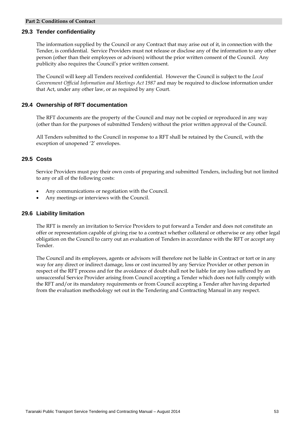#### **29.3 Tender confidentiality**

The information supplied by the Council or any Contract that may arise out of it, in connection with the Tender, is confidential. Service Providers must not release or disclose any of the information to any other person (other than their employees or advisors) without the prior written consent of the Council. Any publicity also requires the Council's prior written consent.

The Council will keep all Tenders received confidential. However the Council is subject to the *Local Government Official Information and Meetings Act 1987* and may be required to disclose information under that Act, under any other law, or as required by any Court.

#### **29.4 Ownership of RFT documentation**

The RFT documents are the property of the Council and may not be copied or reproduced in any way (other than for the purposes of submitted Tenders) without the prior written approval of the Council.

All Tenders submitted to the Council in response to a RFT shall be retained by the Council, with the exception of unopened '2' envelopes.

#### **29.5 Costs**

Service Providers must pay their own costs of preparing and submitted Tenders, including but not limited to any or all of the following costs:

- Any communications or negotiation with the Council.
- Any meetings or interviews with the Council.

#### **29.6 Liability limitation**

The RFT is merely an invitation to Service Providers to put forward a Tender and does not constitute an offer or representation capable of giving rise to a contract whether collateral or otherwise or any other legal obligation on the Council to carry out an evaluation of Tenders in accordance with the RFT or accept any Tender.

The Council and its employees, agents or advisors will therefore not be liable in Contract or tort or in any way for any direct or indirect damage, loss or cost incurred by any Service Provider or other person in respect of the RFT process and for the avoidance of doubt shall not be liable for any loss suffered by an unsuccessful Service Provider arising from Council accepting a Tender which does not fully comply with the RFT and/or its mandatory requirements or from Council accepting a Tender after having departed from the evaluation methodology set out in the Tendering and Contracting Manual in any respect.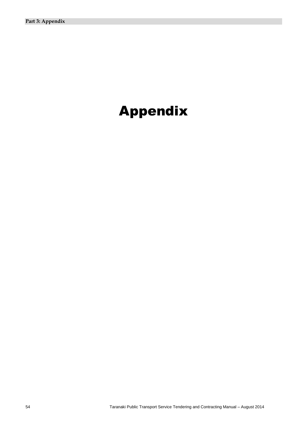# Appendix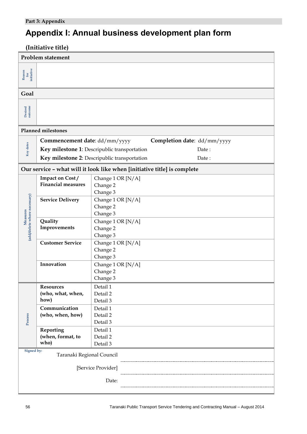# **Appendix I: Annual business development plan form**

| (Initiative title)                                                           |                                                              |                                                                          |  |  |  |  |
|------------------------------------------------------------------------------|--------------------------------------------------------------|--------------------------------------------------------------------------|--|--|--|--|
| <b>Problem statement</b>                                                     |                                                              |                                                                          |  |  |  |  |
|                                                                              |                                                              |                                                                          |  |  |  |  |
| $\begin{array}{c} {\bf Reason} \\ {\bf for} \\ {\bf initiative} \end{array}$ |                                                              |                                                                          |  |  |  |  |
|                                                                              |                                                              |                                                                          |  |  |  |  |
| Goal                                                                         |                                                              |                                                                          |  |  |  |  |
|                                                                              |                                                              |                                                                          |  |  |  |  |
| <b>Desired</b><br>outcome                                                    |                                                              |                                                                          |  |  |  |  |
|                                                                              |                                                              |                                                                          |  |  |  |  |
| <b>Planned milestones</b>                                                    |                                                              |                                                                          |  |  |  |  |
|                                                                              | Completion date: dd/mm/yyyy<br>Commencement date: dd/mm/yyyy |                                                                          |  |  |  |  |
| Key dates                                                                    |                                                              | Key milestone 1: Descripublic transportation<br>Date:                    |  |  |  |  |
|                                                                              |                                                              | Date:                                                                    |  |  |  |  |
|                                                                              | Key milestone 2: Descripublic transportation                 |                                                                          |  |  |  |  |
|                                                                              |                                                              | Our service - what will it look like when [initiative title] is complete |  |  |  |  |
|                                                                              | Impact on Cost/                                              | Change 1 OR [N/A]                                                        |  |  |  |  |
|                                                                              | <b>Financial measures</b>                                    | Change 2                                                                 |  |  |  |  |
|                                                                              |                                                              | Change 3                                                                 |  |  |  |  |
|                                                                              | <b>Service Delivery</b>                                      | Change 1 OR [N/A]                                                        |  |  |  |  |
|                                                                              |                                                              | Change 2                                                                 |  |  |  |  |
| (add/delete where necessary)<br>Measures                                     | Quality                                                      | Change 3                                                                 |  |  |  |  |
|                                                                              | Improvements                                                 | Change 1 OR [N/A]<br>Change 2                                            |  |  |  |  |
|                                                                              |                                                              | Change 3                                                                 |  |  |  |  |
|                                                                              | <b>Customer Service</b>                                      | Change 1 OR [N/A]                                                        |  |  |  |  |
|                                                                              |                                                              | Change 2                                                                 |  |  |  |  |
|                                                                              |                                                              | Change 3                                                                 |  |  |  |  |
|                                                                              | Innovation                                                   | Change 1 OR [N/A]                                                        |  |  |  |  |
|                                                                              |                                                              | Change 2                                                                 |  |  |  |  |
|                                                                              |                                                              | Change 3                                                                 |  |  |  |  |
|                                                                              | <b>Resources</b>                                             | Detail 1                                                                 |  |  |  |  |
|                                                                              | (who, what, when,                                            | Detail 2                                                                 |  |  |  |  |
|                                                                              | how)                                                         | Detail 3                                                                 |  |  |  |  |
|                                                                              | Communication                                                | Detail 1                                                                 |  |  |  |  |
| Process                                                                      | (who, when, how)                                             | Detail 2<br>Detail 3                                                     |  |  |  |  |
|                                                                              | Reporting                                                    | Detail 1                                                                 |  |  |  |  |
|                                                                              | (when, format, to                                            | Detail 2                                                                 |  |  |  |  |
|                                                                              | who)                                                         | Detail 3                                                                 |  |  |  |  |
| Signed by:                                                                   |                                                              |                                                                          |  |  |  |  |
| Taranaki Regional Council                                                    |                                                              |                                                                          |  |  |  |  |
| [Service Provider]                                                           |                                                              |                                                                          |  |  |  |  |
| Date:                                                                        |                                                              |                                                                          |  |  |  |  |
|                                                                              |                                                              |                                                                          |  |  |  |  |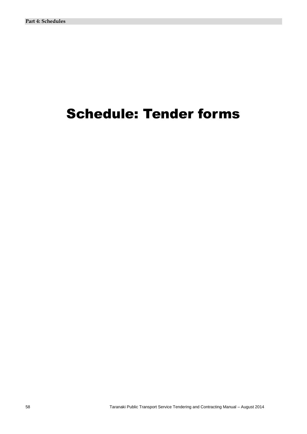# Schedule: Tender forms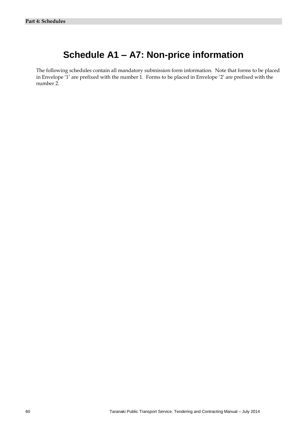## **Schedule A1 – A7: Non-price information**

The following schedules contain all mandatory submission form information. Note that forms to be placed in Envelope '1' are prefixed with the number 1. Forms to be placed in Envelope '2' are prefixed with the number 2.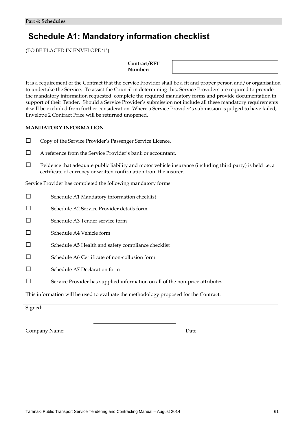## **Schedule A1: Mandatory information checklist**

(TO BE PLACED IN ENVELOPE '1')

**Contract/RFT Number:**

It is a requirement of the Contract that the Service Provider shall be a fit and proper person and/or organisation to undertake the Service. To assist the Council in determining this, Service Providers are required to provide the mandatory information requested, complete the required mandatory forms and provide documentation in support of their Tender. Should a Service Provider's submission not include all these mandatory requirements it will be excluded from further consideration. Where a Service Provider's submission is judged to have failed, Envelope 2 Contract Price will be returned unopened.

#### **MANDATORY INFORMATION**

- Copy of the Service Provider's Passenger Service Licence.
- $\Box$  A reference from the Service Provider's bank or accountant.
- $\Box$  Evidence that adequate public liability and motor vehicle insurance (including third party) is held i.e. a certificate of currency or written confirmation from the insurer.

Service Provider has completed the following mandatory forms:

□ Schedule A1 Mandatory information checklist □ Schedule A2 Service Provider details form □ Schedule A3 Tender service form  $\square$  Schedule A4 Vehicle form  $\square$  Schedule A5 Health and safety compliance checklist  $\square$  Schedule A6 Certificate of non-collusion form □ Schedule A7 Declaration form Service Provider has supplied information on all of the non-price attributes.

This information will be used to evaluate the methodology proposed for the Contract.

Signed:

Company Name: Date: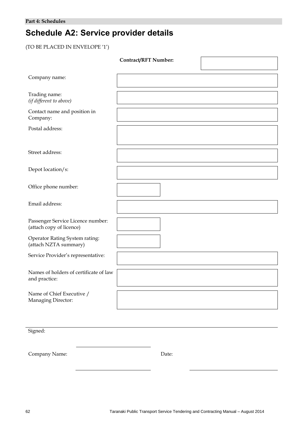# **Schedule A2: Service provider details**

(TO BE PLACED IN ENVELOPE '1')

|                                                               | <b>Contract/RFT Number:</b> |  |
|---------------------------------------------------------------|-----------------------------|--|
| Company name:                                                 |                             |  |
| Trading name:<br>(if different to above)                      |                             |  |
| Contact name and position in<br>Company:                      |                             |  |
| Postal address:                                               |                             |  |
| Street address:                                               |                             |  |
| Depot location/s:                                             |                             |  |
| Office phone number:                                          |                             |  |
| Email address:                                                |                             |  |
| Passenger Service Licence number:<br>(attach copy of licence) |                             |  |
| Operator Rating System rating:<br>(attach NZTA summary)       |                             |  |
| Service Provider's representative:                            |                             |  |
| Names of holders of certificate of law<br>and practice:       |                             |  |
| Name of Chief Executive /<br>Managing Director:               |                             |  |

Signed:

Company Name: Date: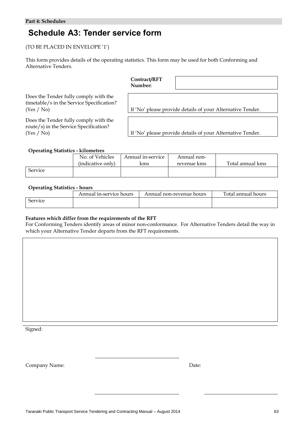# **Schedule A3: Tender service form**

(TO BE PLACED IN ENVELOPE '1')

This form provides details of the operating statistics. This form may be used for both Conforming and Alternative Tenders.

|                                                                                                  | Contract/RFT<br>Number: |                                                            |
|--------------------------------------------------------------------------------------------------|-------------------------|------------------------------------------------------------|
| Does the Tender fully comply with the<br>timetable/s in the Service Specification?<br>(Yes / No) |                         | If 'No' please provide details of your Alternative Tender. |
| Does the Tender fully comply with the<br>route/s) in the Service Specification?<br>(Yes / No)    |                         | If 'No' please provide details of your Alternative Tender. |

# **Operating Statistics - kilometres**

| . .            | No. of Vehicles<br>(indicative only) | Annual in-service<br>kms | Annual non-<br>revenue kms | Total annual kms |
|----------------|--------------------------------------|--------------------------|----------------------------|------------------|
| <b>Service</b> |                                      |                          |                            |                  |

### **Operating Statistics - hours**

| __      | Annual in-service hours | Annual non-revenue hours | Total annual hours |
|---------|-------------------------|--------------------------|--------------------|
| Service |                         |                          |                    |

## **Features which differ from the requirements of the RFT**

For Conforming Tenders identify areas of minor non-conformance. For Alternative Tenders detail the way in which your Alternative Tender departs from the RFT requirements.

Signed: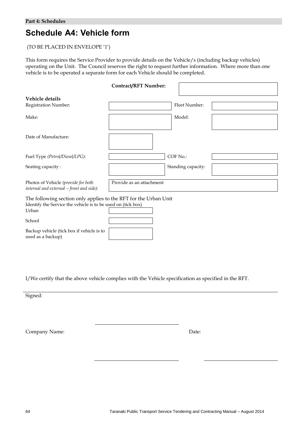# **Schedule A4: Vehicle form**

# (TO BE PLACED IN ENVELOPE '1')

This form requires the Service Provider to provide details on the Vehicle/s (including backup vehicles) operating on the Unit. The Council reserves the right to request further information. Where more than one vehicle is to be operated a separate form for each Vehicle should be completed.

|                                                                                                                                           | <b>Contract/RFT Number:</b> |                    |
|-------------------------------------------------------------------------------------------------------------------------------------------|-----------------------------|--------------------|
| Vehicle details                                                                                                                           |                             |                    |
| Registration Number:                                                                                                                      |                             | Fleet Number:      |
| Make:                                                                                                                                     |                             | Model:             |
| Date of Manufacture:                                                                                                                      |                             |                    |
| Fuel Type (Petrol/Diesel/LPG):                                                                                                            |                             | COF No.:           |
| Seating capacity:                                                                                                                         |                             | Standing capacity: |
| Photos of Vehicle (provide for both<br>internal and external - front and side):                                                           | Provide as an attachment    |                    |
| The following section only applies to the RFT for the Urban Unit<br>Identify the Service the vehicle is to be used on (tick box)<br>Urban |                             |                    |
| School                                                                                                                                    |                             |                    |
| Backup vehicle (tick box if vehicle is to                                                                                                 |                             |                    |

I/We certify that the above vehicle complies with the Vehicle specification as specified in the RFT.

Signed:

Company Name: Date:

used as a backup)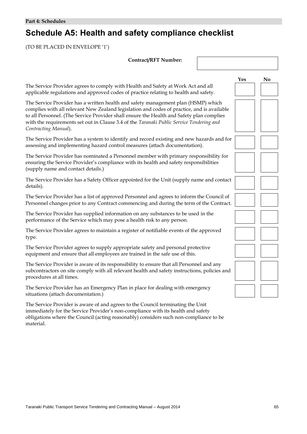# **Schedule A5: Health and safety compliance checklist**

(TO BE PLACED IN ENVELOPE '1')

| <b>Contract/RFT Number:</b>                                                                                                                                                                                                                                                                                                                                                                     |     |                |
|-------------------------------------------------------------------------------------------------------------------------------------------------------------------------------------------------------------------------------------------------------------------------------------------------------------------------------------------------------------------------------------------------|-----|----------------|
|                                                                                                                                                                                                                                                                                                                                                                                                 | Yes | N <sub>0</sub> |
| The Service Provider agrees to comply with Health and Safety at Work Act and all<br>applicable regulations and approved codes of practice relating to health and safety.                                                                                                                                                                                                                        |     |                |
| The Service Provider has a written health and safety management plan (HSMP) which<br>complies with all relevant New Zealand legislation and codes of practice, and is available<br>to all Personnel. (The Service Provider shall ensure the Health and Safety plan complies<br>with the requirements set out in Clause 3.4 of the Taranaki Public Service Tendering and<br>Contracting Manual). |     |                |
| The Service Provider has a system to identify and record existing and new hazards and for<br>assessing and implementing hazard control measures (attach documentation).                                                                                                                                                                                                                         |     |                |
| The Service Provider has nominated a Personnel member with primary responsibility for<br>ensuring the Service Provider's compliance with its health and safety responsibilities<br>(supply name and contact details.)                                                                                                                                                                           |     |                |
| The Service Provider has a Safety Officer appointed for the Unit (supply name and contact<br>details).                                                                                                                                                                                                                                                                                          |     |                |
| The Service Provider has a list of approved Personnel and agrees to inform the Council of<br>Personnel changes prior to any Contract commencing and during the term of the Contract.                                                                                                                                                                                                            |     |                |
| The Service Provider has supplied information on any substances to be used in the<br>performance of the Service which may pose a health risk to any person.                                                                                                                                                                                                                                     |     |                |
| The Service Provider agrees to maintain a register of notifiable events of the approved<br>type.                                                                                                                                                                                                                                                                                                |     |                |
| The Service Provider agrees to supply appropriate safety and personal protective<br>equipment and ensure that all employees are trained in the safe use of this.                                                                                                                                                                                                                                |     |                |
| The Service Provider is aware of its responsibility to ensure that all Personnel and any<br>subcontractors on site comply with all relevant health and safety instructions, policies and<br>procedures at all times.                                                                                                                                                                            |     |                |
| The Service Provider has an Emergency Plan in place for dealing with emergency<br>situations (attach documentation.)                                                                                                                                                                                                                                                                            |     |                |
| The Service Provider is aware of and agrees to the Council terminating the Unit<br>immediately for the Service Provider's non-compliance with its health and safety<br>obligations where the Council (acting reasonably) considers such non-compliance to be<br>material.                                                                                                                       |     |                |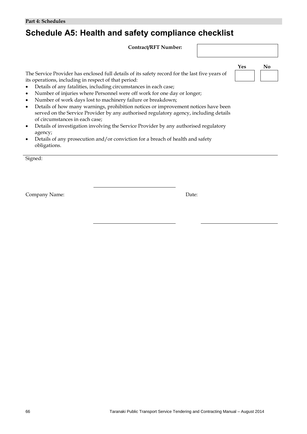# **Schedule A5: Health and safety compliance checklist**

**Contract/RFT Number:**

The Service Provider has enclosed full details of its safety record for the last five years of its operations, including in respect of that period:

- Details of any fatalities, including circumstances in each case;
- Number of injuries where Personnel were off work for one day or longer;
- Number of work days lost to machinery failure or breakdown;
- Details of how many warnings, prohibition notices or improvement notices have been served on the Service Provider by any authorised regulatory agency, including details of circumstances in each case;
- Details of investigation involving the Service Provider by any authorised regulatory agency;
- Details of any prosecution and/or conviction for a breach of health and safety obligations.

Signed:

Company Name: Date:

|  | Nο |
|--|----|
|  |    |

**Yes No**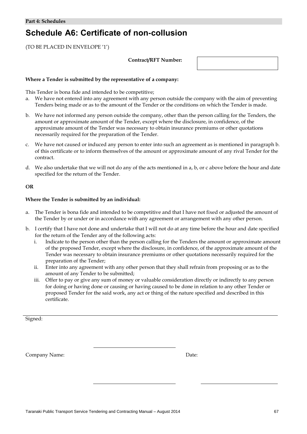# **Schedule A6: Certificate of non-collusion**

(TO BE PLACED IN ENVELOPE '1')

## **Contract/RFT Number:**

### **Where a Tender is submitted by the representative of a company:**

This Tender is bona fide and intended to be competitive;

- a. We have not entered into any agreement with any person outside the company with the aim of preventing Tenders being made or as to the amount of the Tender or the conditions on which the Tender is made.
- b. We have not informed any person outside the company, other than the person calling for the Tenders, the amount or approximate amount of the Tender, except where the disclosure, in confidence, of the approximate amount of the Tender was necessary to obtain insurance premiums or other quotations necessarily required for the preparation of the Tender.
- c. We have not caused or induced any person to enter into such an agreement as is mentioned in paragraph b. of this certificate or to inform themselves of the amount or approximate amount of any rival Tender for the contract.
- d. We also undertake that we will not do any of the acts mentioned in a, b, or c above before the hour and date specified for the return of the Tender.

# **OR**

### **Where the Tender is submitted by an individual:**

- a. The Tender is bona fide and intended to be competitive and that I have not fixed or adjusted the amount of the Tender by or under or in accordance with any agreement or arrangement with any other person.
- b. I certify that I have not done and undertake that I will not do at any time before the hour and date specified for the return of the Tender any of the following acts:
	- i. Indicate to the person other than the person calling for the Tenders the amount or approximate amount of the proposed Tender, except where the disclosure, in confidence, of the approximate amount of the Tender was necessary to obtain insurance premiums or other quotations necessarily required for the preparation of the Tender;
	- ii. Enter into any agreement with any other person that they shall refrain from proposing or as to the amount of any Tender to be submitted;
	- iii. Offer to pay or give any sum of money or valuable consideration directly or indirectly to any person for doing or having done or causing or having caused to be done in relation to any other Tender or proposed Tender for the said work, any act or thing of the nature specified and described in this certificate.

Signed: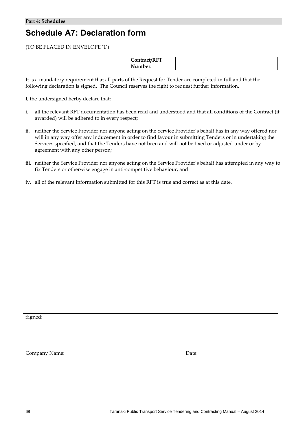# **Schedule A7: Declaration form**

(TO BE PLACED IN ENVELOPE '1')

# **Contract/RFT Number:**

It is a mandatory requirement that all parts of the Request for Tender are completed in full and that the following declaration is signed. The Council reserves the right to request further information.

I, the undersigned herby declare that:

- i. all the relevant RFT documentation has been read and understood and that all conditions of the Contract (if awarded) will be adhered to in every respect;
- ii. neither the Service Provider nor anyone acting on the Service Provider's behalf has in any way offered nor will in any way offer any inducement in order to find favour in submitting Tenders or in undertaking the Services specified, and that the Tenders have not been and will not be fixed or adjusted under or by agreement with any other person;
- iii. neither the Service Provider nor anyone acting on the Service Provider's behalf has attempted in any way to fix Tenders or otherwise engage in anti-competitive behaviour; and
- iv. all of the relevant information submitted for this RFT is true and correct as at this date.

Signed: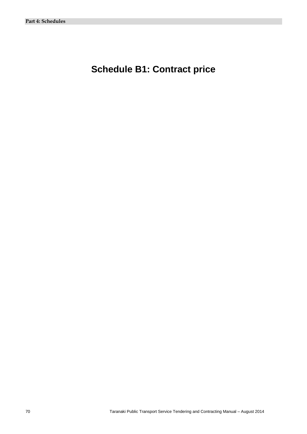# **Schedule B1: Contract price**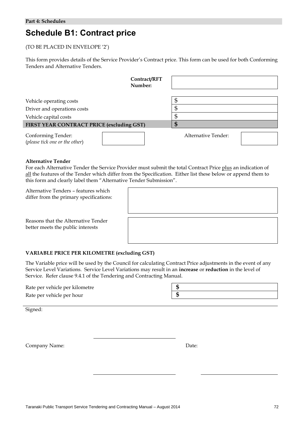# **Schedule B1: Contract price**

# (TO BE PLACED IN ENVELOPE '2')

This form provides details of the Service Provider's Contract price. This form can be used for both Conforming Tenders and Alternative Tenders.

| Contract/RFT<br>Number:                                     |                     |
|-------------------------------------------------------------|---------------------|
| Vehicle operating costs                                     | \$                  |
| Driver and operations costs<br>Vehicle capital costs        | \$<br>\$            |
| FIRST YEAR CONTRACT PRICE (excluding GST)                   | Ş                   |
| <b>Conforming Tender:</b><br>(please tick one or the other) | Alternative Tender: |

# **Alternative Tender**

For each Alternative Tender the Service Provider must submit the total Contract Price plus an indication of all the features of the Tender which differ from the Specification. Either list these below or append them to this form and clearly label them "Alternative Tender Submission".

Alternative Tenders – features which differ from the primary specifications:

Reasons that the Alternative Tender better meets the public interests

# **VARIABLE PRICE PER KILOMETRE (excluding GST)**

The Variable price will be used by the Council for calculating Contract Price adjustments in the event of any Service Level Variations. Service Level Variations may result in an **increase** or **reduction** in the level of Service. Refer clause 9.4.1 of the Tendering and Contracting Manual.

| Rate per vehicle per kilometre |  |
|--------------------------------|--|
| Rate per vehicle per hour      |  |

Signed: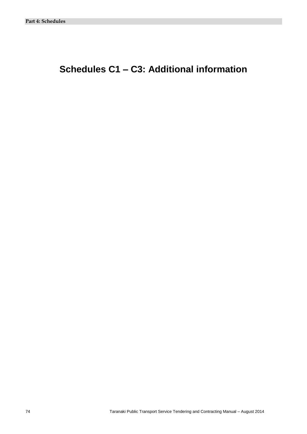# **Schedules C1 – C3: Additional information**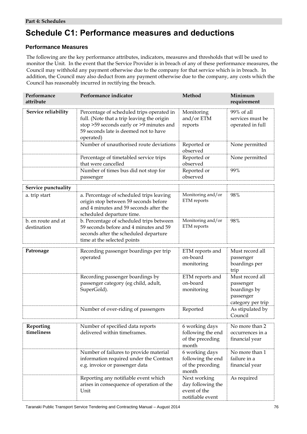# **Schedule C1: Performance measures and deductions**

# **Performance Measures**

The following are the key performance attributes, indicators, measures and thresholds that will be used to monitor the Unit*.* In the event that the Service Provider is in breach of any of these performance measures, the Council may withhold any payment otherwise due to the company for that service which is in breach. In addition, the Council may also deduct from any payment otherwise due to the company, any costs which the Council has reasonably incurred in rectifying the breach.

| Performance<br>attribute          | Performance indicator                                                                                                                                                                     | Method                                                                | Minimum<br>requirement                                                         |
|-----------------------------------|-------------------------------------------------------------------------------------------------------------------------------------------------------------------------------------------|-----------------------------------------------------------------------|--------------------------------------------------------------------------------|
| Service reliability               | Percentage of scheduled trips operated in<br>full. (Note that a trip leaving the origin<br>stop >59 seconds early or >9 minutes and<br>59 seconds late is deemed not to have<br>operated) | Monitoring<br>and/or ETM<br>reports                                   | 99% of all<br>services must be<br>operated in full                             |
|                                   | Number of unauthorised route deviations                                                                                                                                                   | Reported or<br>observed                                               | None permitted                                                                 |
|                                   | Percentage of timetabled service trips<br>that were cancelled                                                                                                                             | Reported or<br>observed                                               | None permitted                                                                 |
|                                   | Number of times bus did not stop for<br>passenger                                                                                                                                         | Reported or<br>observed                                               | 99%                                                                            |
| Service punctuality               |                                                                                                                                                                                           |                                                                       |                                                                                |
| a. trip start                     | a. Percentage of scheduled trips leaving<br>origin stop between 59 seconds before<br>and 4 minutes and 59 seconds after the<br>scheduled departure time.                                  | Monitoring and/or<br>ETM reports                                      | 98%                                                                            |
| b. en route and at<br>destination | b. Percentage of scheduled trips between<br>59 seconds before and 4 minutes and 59<br>seconds after the scheduled departure<br>time at the selected points                                | Monitoring and/or<br>ETM reports                                      | 98%                                                                            |
| Patronage                         | Recording passenger boardings per trip<br>operated                                                                                                                                        | ETM reports and<br>on-board<br>monitoring                             | Must record all<br>passenger<br>boardings per<br>trip                          |
|                                   | Recording passenger boardings by<br>passenger category (eg child, adult,<br>SuperGold).                                                                                                   | ETM reports and<br>on-board<br>monitoring                             | Must record all<br>passenger<br>boardings by<br>passenger<br>category per trip |
|                                   | Number of over-riding of passengers                                                                                                                                                       | Reported                                                              | As stipulated by<br>Council                                                    |
| Reporting<br>timeliness           | Number of specified data reports<br>delivered within timeframes.                                                                                                                          | 6 working days<br>following the end<br>of the preceding<br>month      | No more than 2<br>occurrences in a<br>financial year                           |
|                                   | Number of failures to provide material<br>information required under the Contract<br>e.g. invoice or passenger data                                                                       | 6 working days<br>following the end<br>of the preceding<br>month      | No more than 1<br>failure in a<br>financial year                               |
|                                   | Reporting any notifiable event which<br>arises in consequence of operation of the<br>Unit                                                                                                 | Next working<br>day following the<br>event of the<br>notifiable event | As required                                                                    |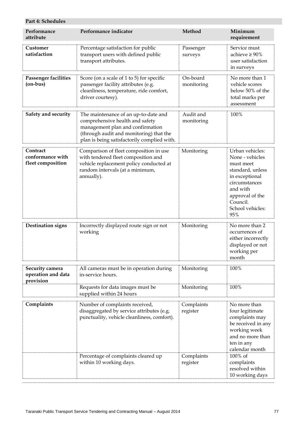| Performance<br>attribute                           | Performance indicator                                                                                                                                                                                 | Method                  | Minimum<br>requirement                                                                                                                                                       |
|----------------------------------------------------|-------------------------------------------------------------------------------------------------------------------------------------------------------------------------------------------------------|-------------------------|------------------------------------------------------------------------------------------------------------------------------------------------------------------------------|
| Customer<br>satisfaction                           | Percentage satisfaction for public<br>transport users with defined public<br>transport attributes.                                                                                                    | Passenger<br>surveys    | Service must<br>achieve $\geq 90\%$<br>user satisfaction<br>in surveys                                                                                                       |
| <b>Passenger facilities</b><br>$($ on-bus $)$      | Score (on a scale of 1 to 5) for specific<br>passenger facility attributes (e.g.<br>cleanliness, temperature, ride comfort,<br>driver courtesy).                                                      | On-board<br>monitoring  | No more than 1<br>vehicle scores<br>below 50% of the<br>total marks per<br>assessment                                                                                        |
| Safety and security                                | The maintenance of an up-to-date and<br>comprehensive health and safety<br>management plan and confirmation<br>(through audit and monitoring) that the<br>plan is being satisfactorily complied with. | Audit and<br>monitoring | 100%                                                                                                                                                                         |
| Contract<br>conformance with<br>fleet composition  | Comparison of fleet composition in use<br>with tendered fleet composition and<br>vehicle replacement policy conducted at<br>random intervals (at a minimum,<br>annually).                             | Monitoring              | Urban vehicles:<br>None - vehicles<br>must meet<br>standard, unless<br>in exceptional<br>circumstances<br>and with<br>approval of the<br>Council.<br>School vehicles:<br>95% |
| <b>Destination signs</b>                           | Incorrectly displayed route sign or not<br>working                                                                                                                                                    | Monitoring              | No more than 2<br>occurrences of<br>either incorrectly<br>displayed or not<br>working per<br>month                                                                           |
| Security camera<br>operation and data<br>provision | All cameras must be in operation during<br>in-service hours.                                                                                                                                          | Monitoring              | $100\%$                                                                                                                                                                      |
|                                                    | Requests for data images must be<br>supplied within 24 hours                                                                                                                                          | Monitoring              | 100%                                                                                                                                                                         |
| Complaints                                         | Number of complaints received,<br>disaggregated by service attributes (e.g.<br>punctuality, vehicle cleanliness, comfort).                                                                            | Complaints<br>register  | No more than<br>four legitimate<br>complaints may<br>be received in any<br>working week<br>and no more than<br>ten in any<br>calendar month                                  |
|                                                    | Percentage of complaints cleared up<br>within 10 working days.                                                                                                                                        | Complaints<br>register  | 100% of<br>complaints<br>resolved within<br>10 working days                                                                                                                  |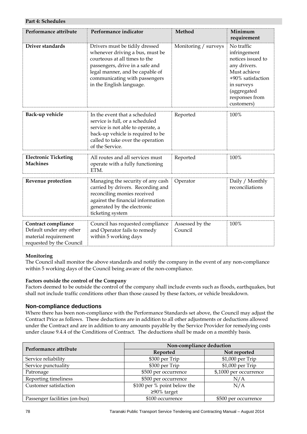| Performance attribute                                                                              | Performance indicator                                                                                                                                                                                                                 | Method                     | Minimum<br>requirement                                                                                                                                            |
|----------------------------------------------------------------------------------------------------|---------------------------------------------------------------------------------------------------------------------------------------------------------------------------------------------------------------------------------------|----------------------------|-------------------------------------------------------------------------------------------------------------------------------------------------------------------|
| Driver standards                                                                                   | Drivers must be tidily dressed<br>whenever driving a bus, must be<br>courteous at all times to the<br>passengers, drive in a safe and<br>legal manner, and be capable of<br>communicating with passengers<br>in the English language. | Monitoring / surveys       | No traffic<br>infringement<br>notices issued to<br>any drivers.<br>Must achieve<br>+90% satisfaction<br>in surveys<br>(aggregated<br>responses from<br>customers) |
| Back-up vehicle                                                                                    | In the event that a scheduled<br>service is full, or a scheduled<br>service is not able to operate, a<br>back-up vehicle is required to be<br>called to take over the operation<br>of the Service.                                    | Reported                   | 100%                                                                                                                                                              |
| <b>Electronic Ticketing</b><br><b>Machines</b>                                                     | All routes and all services must<br>operate with a fully functioning<br>ETM.                                                                                                                                                          | Reported                   | 100%                                                                                                                                                              |
| Revenue protection                                                                                 | Managing the security of any cash<br>carried by drivers. Recording and<br>reconciling monies received<br>against the financial information<br>generated by the electronic<br>ticketing system                                         | Operator                   | Daily / Monthly<br>reconciliations                                                                                                                                |
| Contract compliance<br>Default under any other<br>material requirement<br>requested by the Council | Council has requested compliance<br>and Operator fails to remedy<br>within 5 working days                                                                                                                                             | Assessed by the<br>Council | 100%                                                                                                                                                              |

# **Monitoring**

The Council shall monitor the above standards and notify the company in the event of any non-compliance within 5 working days of the Council being aware of the non-compliance.

# **Factors outside the control of the Company**

Factors deemed to be outside the control of the company shall include events such as floods, earthquakes, but shall not include traffic conditions other than those caused by these factors, or vehicle breakdown.

# **Non-compliance deductions**

Where there has been non-compliance with the Performance Standards set above, the Council may adjust the Contract Price as follows. These deductions are in addition to all other adjustments or deductions allowed under the Contract and are in addition to any amounts payable by the Service Provider for remedying costs under clause 9.4.4 of the Conditions of Contract. The deductions shall be made on a monthly basis.

| Performance attribute         | Non-compliance deduction    |                        |  |
|-------------------------------|-----------------------------|------------------------|--|
|                               | Reported                    | Not reported           |  |
| Service reliability           | \$300 per Trip              | \$1,000 per Trip       |  |
| Service punctuality           | \$300 per Trip              | \$1,000 per Trip       |  |
| Patronage                     | \$500 per occurrence        | \$,1000 per occurrence |  |
| Reporting timeliness          | \$500 per occurrence        | N/A                    |  |
| Customer satisfaction         | \$100 per % point below the | N/A                    |  |
|                               | $≥90\%$ target              |                        |  |
| Passenger facilities (on-bus) | \$100 occurrence            | \$500 per occurrence   |  |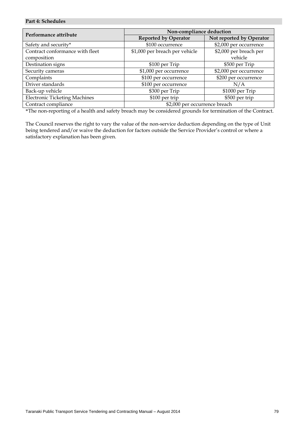| Performance attribute                | Non-compliance deduction       |                          |  |
|--------------------------------------|--------------------------------|--------------------------|--|
|                                      | <b>Reported by Operator</b>    | Not reported by Operator |  |
| Safety and security*                 | \$100 occurrence               | \$2,000 per occurrence   |  |
| Contract conformance with fleet      | \$1,000 per breach per vehicle | \$2,000 per breach per   |  |
| composition                          |                                | vehicle                  |  |
| Destination signs                    | \$100 per Trip                 | \$500 per Trip           |  |
| Security cameras                     | \$1,000 per occurrence         | \$2,000 per occurrence   |  |
| Complaints                           | \$100 per occurrence           | \$200 per occurrence     |  |
| Driver standards                     | \$100 per occurrence           | N/A                      |  |
| Back-up vehicle                      | \$300 per Trip                 | \$1000 per Trip          |  |
| <b>Electronic Ticketing Machines</b> | \$100 per trip                 | \$500 per trip           |  |
| Contract compliance                  | \$2,000 per occurrence breach  |                          |  |

\*The non-reporting of a health and safety breach may be considered grounds for termination of the Contract.

The Council reserves the right to vary the value of the non-service deduction depending on the type of Unit being tendered and/or waive the deduction for factors outside the Service Provider's control or where a satisfactory explanation has been given.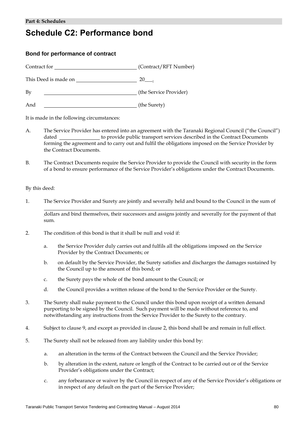# **Schedule C2: Performance bond**

# **Bond for performance of contract**

Contract for (Contract/RFT Number) This Deed is made on 20\_\_\_. By **Example 2018** (the Service Provider) And (the Surety)

It is made in the following circumstances:

- A. The Service Provider has entered into an agreement with the Taranaki Regional Council ("the Council") dated to provide public transport services described in the Contract Documents forming the agreement and to carry out and fulfil the obligations imposed on the Service Provider by the Contract Documents.
- B. The Contract Documents require the Service Provider to provide the Council with security in the form of a bond to ensure performance of the Service Provider's obligations under the Contract Documents.

By this deed:

 $\overline{a}$ 

1. The Service Provider and Surety are jointly and severally held and bound to the Council in the sum of

 dollars and bind themselves, their successors and assigns jointly and severally for the payment of that sum.

- 2. The condition of this bond is that it shall be null and void if:
	- a. the Service Provider duly carries out and fulfils all the obligations imposed on the Service Provider by the Contract Documents; or
	- b. on default by the Service Provider, the Surety satisfies and discharges the damages sustained by the Council up to the amount of this bond; or
	- c. the Surety pays the whole of the bond amount to the Council; or
	- d. the Council provides a written release of the bond to the Service Provider or the Surety.
- 3. The Surety shall make payment to the Council under this bond upon receipt of a written demand purporting to be signed by the Council. Such payment will be made without reference to, and notwithstanding any instructions from the Service Provider to the Surety to the contrary.
- 4. Subject to clause 9, and except as provided in clause 2, this bond shall be and remain in full effect.
- 5. The Surety shall not be released from any liability under this bond by:
	- a. an alteration in the terms of the Contract between the Council and the Service Provider;
	- b. by alteration in the extent, nature or length of the Contract to be carried out or of the Service Provider's obligations under the Contract;
	- c. any forbearance or waiver by the Council in respect of any of the Service Provider's obligations or in respect of any default on the part of the Service Provider;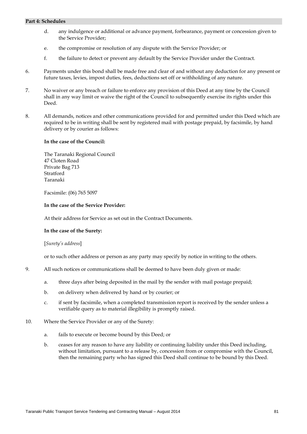- d. any indulgence or additional or advance payment, forbearance, payment or concession given to the Service Provider;
- e. the compromise or resolution of any dispute with the Service Provider; or
- f. the failure to detect or prevent any default by the Service Provider under the Contract.
- 6. Payments under this bond shall be made free and clear of and without any deduction for any present or future taxes, levies, impost duties, fees, deductions set off or withholding of any nature.
- 7. No waiver or any breach or failure to enforce any provision of this Deed at any time by the Council shall in any way limit or waive the right of the Council to subsequently exercise its rights under this Deed.
- 8. All demands, notices and other communications provided for and permitted under this Deed which are required to be in writing shall be sent by registered mail with postage prepaid, by facsimile, by hand delivery or by courier as follows:

### **In the case of the Council:**

The Taranaki Regional Council 47 Cloten Road Private Bag 713 Stratford Taranaki

Facsimile: (06) 765 5097

### **In the case of the Service Provider:**

At their address for Service as set out in the Contract Documents.

# **In the case of the Surety:**

#### [*Surety's address*]

or to such other address or person as any party may specify by notice in writing to the others.

- 9. All such notices or communications shall be deemed to have been duly given or made:
	- a. three days after being deposited in the mail by the sender with mail postage prepaid;
	- b. on delivery when delivered by hand or by courier; or
	- c. if sent by facsimile, when a completed transmission report is received by the sender unless a verifiable query as to material illegibility is promptly raised.
- 10. Where the Service Provider or any of the Surety:
	- a. fails to execute or become bound by this Deed; or
	- b. ceases for any reason to have any liability or continuing liability under this Deed including, without limitation, pursuant to a release by, concession from or compromise with the Council, then the remaining party who has signed this Deed shall continue to be bound by this Deed.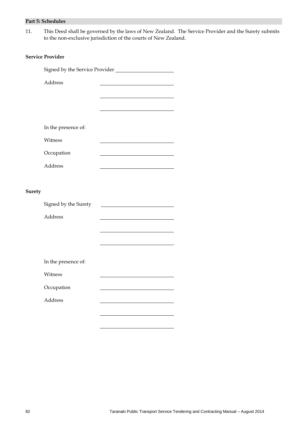11. This Deed shall be governed by the laws of New Zealand. The Service Provider and the Surety submits to the non-exclusive jurisdiction of the courts of New Zealand.

# **Service Provider**

|               | Address              |  |  |
|---------------|----------------------|--|--|
|               |                      |  |  |
|               |                      |  |  |
|               |                      |  |  |
|               | In the presence of:  |  |  |
|               | Witness              |  |  |
|               | Occupation           |  |  |
|               | Address              |  |  |
|               |                      |  |  |
| <b>Surety</b> |                      |  |  |
|               | Signed by the Surety |  |  |
|               | Address              |  |  |
|               |                      |  |  |
|               |                      |  |  |
|               |                      |  |  |
|               | In the presence of:  |  |  |
|               | Witness              |  |  |
|               | Occupation           |  |  |
|               | Address              |  |  |
|               |                      |  |  |

 $\overline{a}$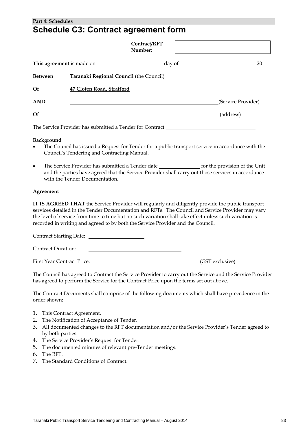# **Part 4: Schedules Schedule C3: Contract agreement form**

|                | Contract/RFT<br>Number:                                  |        |                    |
|----------------|----------------------------------------------------------|--------|--------------------|
|                | This agreement is made on                                | day of | 20                 |
| <b>Between</b> | <b>Taranaki Regional Council</b> (the Council)           |        |                    |
| <b>Of</b>      | 47 Cloten Road, Stratford                                |        |                    |
| <b>AND</b>     |                                                          |        | (Service Provider) |
| <b>Of</b>      |                                                          |        | (address)          |
|                | The Service Provider has submitted a Tender for Contract |        |                    |

# **Background**

- The Council has issued a Request for Tender for a public transport service in accordance with the Council's Tendering and Contracting Manual.
- The Service Provider has submitted a Tender date for the provision of the Unit and the parties have agreed that the Service Provider shall carry out those services in accordance with the Tender Documentation.

### **Agreement**

**IT IS AGREED THAT** the Service Provider will regularly and diligently provide the public transport services detailed in the Tender Documentation and RFTs. The Council and Service Provider may vary the level of service from time to time but no such variation shall take effect unless such variation is recorded in writing and agreed to by both the Service Provider and the Council.

Contract Starting Date: Contract Duration: First Year Contract Price: (GST exclusive)

The Council has agreed to Contract the Service Provider to carry out the Service and the Service Provider has agreed to perform the Service for the Contract Price upon the terms set out above.

The Contract Documents shall comprise of the following documents which shall have precedence in the order shown:

- 1. This Contract Agreement.
- 2. The Notification of Acceptance of Tender.
- 3. All documented changes to the RFT documentation and/or the Service Provider's Tender agreed to by both parties.
- 4. The Service Provider's Request for Tender.
- 5. The documented minutes of relevant pre-Tender meetings.
- 6. The RFT.
- 7. The Standard Conditions of Contract.